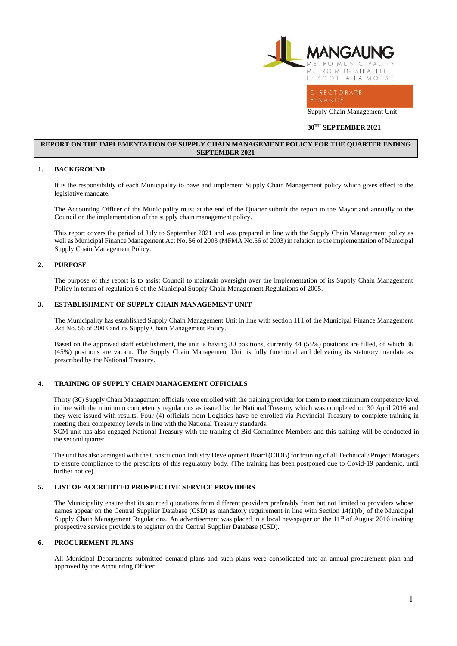

Supply Chain Management Unit

#### **30 30 TH SEPTEMBER 2021**

#### **REPORT ON THE IMPLEMENTATION OF SUPPLY CHAIN MANAGEMENT POLICY FOR THE QUARTER ENDING SEPTEMBER 2021**

#### **1. BACKGROUND**

It is the responsibility of each Municipality to have and implement Supply Chain Management policy which gives effect to the legislative mandate.

The Accounting Officer of the Municipality must at the end of the Quarter submit the report to the Mayor and annually to the Council on the implementation of the supply chain management policy.

This report covers the period of July to September 2021 and was prepared in line with the Supply Chain Management policy as well as Municipal Finance Management Act No. 56 of 2003 (MFMA No.56 of 2003) in relation to the implementation of Municipal Supply Chain Management Policy.

#### **2. PURPOSE**

The purpose of this report is to assist Council to maintain oversight over the implementation of its Supply Chain Management Policy in terms of regulation 6 of the Municipal Supply Chain Management Regulations of 2005.

#### **3. ESTABLISHMENT OF SUPPLY CHAIN MANAGEMENT UNIT**

The Municipality has established Supply Chain Management Unit in line with section 111 of the Municipal Finance Management Act No. 56 of 2003 and its Supply Chain Management Policy.

Based on the approved staff establishment, the unit is having 80 positions, currently 44 (55%) positions are filled, of which 36 (45%) positions are vacant. The Supply Chain Management Unit is fully functional and delivering its statutory mandate as prescribed by the National Treasury.

#### **4. TRAINING OF SUPPLY CHAIN MANAGEMENT OFFICIALS**

Thirty (30) Supply Chain Management officials were enrolled with the training provider for them to meet minimum competency level in line with the minimum competency regulations as issued by the National Treasury which was completed on 30 April 2016 and they were issued with results. Four (4) officials from Logistics have be enrolled via Provincial Treasury to complete training in meeting their competency levels in line with the National Treasury standards.

SCM unit has also engaged National Treasury with the training of Bid Committee Members and this training will be conducted in the second quarter.

The unit has also arranged with the Construction Industry Development Board (CIDB) for training of all Technical / Project Managers to ensure compliance to the prescripts of this regulatory body. (The training has been postponed due to Covid-19 pandemic, until further notice)

#### **5. LIST OF ACCREDITED PROSPECTIVE SERVICE PROVIDERS**

The Municipality ensure that its sourced quotations from different providers preferably from but not limited to providers whose names appear on the Central Supplier Database (CSD) as mandatory requirement in line with Section 14(1)(b) of the Municipal Supply Chain Management Regulations. An advertisement was placed in a local newspaper on the  $11<sup>th</sup>$  of August 2016 inviting prospective service providers to register on the Central Supplier Database (CSD).

#### **6. PROCUREMENT PLANS**

All Municipal Departments submitted demand plans and such plans were consolidated into an annual procurement plan and approved by the Accounting Officer.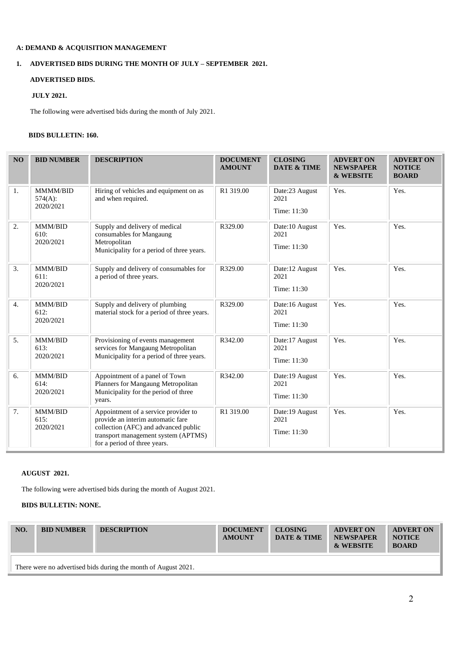## **A: DEMAND & ACQUISITION MANAGEMENT**

# **1. ADVERTISED BIDS DURING THE MONTH OF JULY – SEPTEMBER 2021.**

### **ADVERTISED BIDS.**

### **JULY 2021.**

The following were advertised bids during the month of July 2021.

### **BIDS BULLETIN: 160.**

| NO | <b>BID NUMBER</b>                   | <b>DESCRIPTION</b>                                                                                                                                                                       | <b>DOCUMENT</b><br><b>AMOUNT</b> | <b>CLOSING</b><br><b>DATE &amp; TIME</b> | <b>ADVERT ON</b><br><b>NEWSPAPER</b><br><b>&amp; WEBSITE</b> | <b>ADVERT ON</b><br><b>NOTICE</b><br><b>BOARD</b> |
|----|-------------------------------------|------------------------------------------------------------------------------------------------------------------------------------------------------------------------------------------|----------------------------------|------------------------------------------|--------------------------------------------------------------|---------------------------------------------------|
| 1. | MMMM/BID<br>574(A):<br>2020/2021    | Hiring of vehicles and equipment on as<br>and when required.                                                                                                                             | R1 319.00                        | Date:23 August<br>2021<br>Time: 11:30    | Yes.                                                         | Yes.                                              |
| 2. | MMM/BID<br>610:<br>2020/2021        | Supply and delivery of medical<br>consumables for Mangaung<br>Metropolitan<br>Municipality for a period of three years.                                                                  | R329.00                          | Date:10 August<br>2021<br>Time: 11:30    | Yes.                                                         | Yes.                                              |
| 3. | <b>MMM/BID</b><br>611:<br>2020/2021 | Supply and delivery of consumables for<br>a period of three years.                                                                                                                       | R329.00                          | Date:12 August<br>2021<br>Time: 11:30    | Yes.                                                         | Yes.                                              |
| 4. | MMM/BID<br>612:<br>2020/2021        | Supply and delivery of plumbing<br>material stock for a period of three years.                                                                                                           | R329.00                          | Date:16 August<br>2021<br>Time: 11:30    | Yes.                                                         | Yes.                                              |
| 5. | MMM/BID<br>613:<br>2020/2021        | Provisioning of events management<br>services for Mangaung Metropolitan<br>Municipality for a period of three years.                                                                     | R342.00                          | Date:17 August<br>2021<br>Time: 11:30    | Yes.                                                         | Yes.                                              |
| 6. | MMM/BID<br>614:<br>2020/2021        | Appointment of a panel of Town<br>Planners for Mangaung Metropolitan<br>Municipality for the period of three<br>years.                                                                   | R342.00                          | Date:19 August<br>2021<br>Time: 11:30    | Yes.                                                         | Yes.                                              |
| 7. | MMM/BID<br>615:<br>2020/2021        | Appointment of a service provider to<br>provide an interim automatic fare<br>collection (AFC) and advanced public<br>transport management system (APTMS)<br>for a period of three years. | R1 319.00                        | Date:19 August<br>2021<br>Time: 11:30    | Yes.                                                         | Yes.                                              |

### **AUGUST 2021.**

The following were advertised bids during the month of August 2021.

## **BIDS BULLETIN: NONE.**

| NO. | <b>BID NUMBER</b> | <b>DESCRIPTION</b>                                             | <b>DOCUMENT</b><br><b>AMOUNT</b> | <b>CLOSING</b><br><b>DATE &amp; TIME</b> | <b>ADVERT ON</b><br><b>NEWSPAPER</b><br>& WEBSITE | <b>ADVERT ON</b><br><b>NOTICE</b><br><b>BOARD</b> |
|-----|-------------------|----------------------------------------------------------------|----------------------------------|------------------------------------------|---------------------------------------------------|---------------------------------------------------|
|     |                   | There were no advertised bids during the month of August 2021. |                                  |                                          |                                                   |                                                   |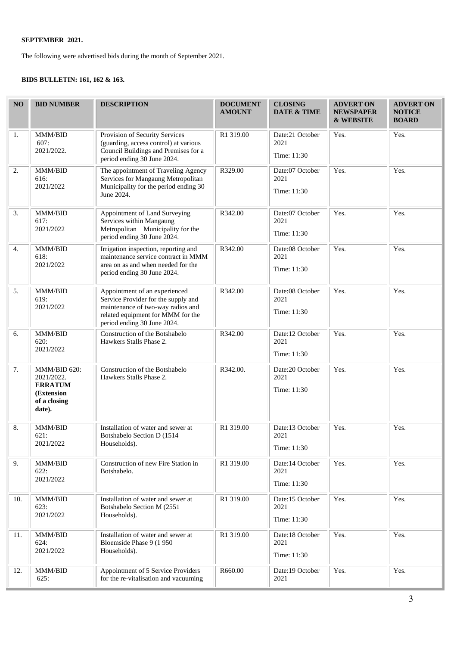The following were advertised bids during the month of September 2021.

# **BIDS BULLETIN: 161, 162 & 163.**

| NO  | <b>BID NUMBER</b>                                                                    | <b>DESCRIPTION</b>                                                                                                                                                            | <b>DOCUMENT</b><br><b>AMOUNT</b> | <b>CLOSING</b><br>DATE & TIME          | <b>ADVERT ON</b><br><b>NEWSPAPER</b><br><b>&amp; WEBSITE</b> | <b>ADVERT ON</b><br><b>NOTICE</b><br><b>BOARD</b> |
|-----|--------------------------------------------------------------------------------------|-------------------------------------------------------------------------------------------------------------------------------------------------------------------------------|----------------------------------|----------------------------------------|--------------------------------------------------------------|---------------------------------------------------|
| 1.  | MMM/BID<br>607:<br>2021/2022.                                                        | Provision of Security Services<br>(guarding, access control) at various<br>Council Buildings and Premises for a<br>period ending 30 June 2024.                                | R1 319.00                        | Date:21 October<br>2021<br>Time: 11:30 | Yes.                                                         | Yes.                                              |
| 2.  | MMM/BID<br>616:<br>2021/2022                                                         | The appointment of Traveling Agency<br>Services for Mangaung Metropolitan<br>Municipality for the period ending 30<br>June 2024.                                              | R329.00                          | Date:07 October<br>2021<br>Time: 11:30 | Yes.                                                         | Yes.                                              |
| 3.  | MMM/BID<br>617:<br>2021/2022                                                         | Appointment of Land Surveying<br>Services within Mangaung<br>Metropolitan Municipality for the<br>period ending 30 June 2024.                                                 | R342.00                          | Date:07 October<br>2021<br>Time: 11:30 | Yes.                                                         | Yes.                                              |
| 4.  | MMM/BID<br>618:<br>2021/2022                                                         | Irrigation inspection, reporting and<br>maintenance service contract in MMM<br>area on as and when needed for the<br>period ending 30 June 2024.                              | R342.00                          | Date:08 October<br>2021<br>Time: 11:30 | Yes.                                                         | Yes.                                              |
| 5.  | MMM/BID<br>619:<br>2021/2022                                                         | Appointment of an experienced<br>Service Provider for the supply and<br>maintenance of two-way radios and<br>related equipment for MMM for the<br>period ending 30 June 2024. | R342.00                          | Date:08 October<br>2021<br>Time: 11:30 | Yes.                                                         | Yes.                                              |
| 6.  | MMM/BID<br>620:<br>2021/2022                                                         | Construction of the Botshabelo<br>Hawkers Stalls Phase 2.                                                                                                                     | R342.00                          | Date:12 October<br>2021<br>Time: 11:30 | Yes.                                                         | Yes.                                              |
| 7.  | MMM/BID 620:<br>2021/2022.<br><b>ERRATUM</b><br>(Extension<br>of a closing<br>date). | Construction of the Botshabelo<br>Hawkers Stalls Phase 2.                                                                                                                     | R342.00.                         | Date:20 October<br>2021<br>Time: 11:30 | Yes.                                                         | Yes.                                              |
| 8.  | MMM/BID<br>621:<br>2021/2022                                                         | Installation of water and sewer at<br>Botshabelo Section D (1514<br>Households).                                                                                              | R1 319.00                        | Date:13 October<br>2021<br>Time: 11:30 | Yes.                                                         | Yes.                                              |
| 9.  | MMM/BID<br>622:<br>2021/2022                                                         | Construction of new Fire Station in<br>Botshabelo.                                                                                                                            | R1 319.00                        | Date:14 October<br>2021<br>Time: 11:30 | Yes.                                                         | Yes.                                              |
| 10. | MMM/BID<br>623:<br>2021/2022                                                         | Installation of water and sewer at<br>Botshabelo Section M (2551<br>Households).                                                                                              | R1 319.00                        | Date:15 October<br>2021<br>Time: 11:30 | Yes.                                                         | Yes.                                              |
| 11. | MMM/BID<br>624:<br>2021/2022                                                         | Installation of water and sewer at<br>Bloemside Phase 9 (1 950)<br>Households).                                                                                               | R1 319.00                        | Date:18 October<br>2021<br>Time: 11:30 | Yes.                                                         | Yes.                                              |
| 12. | MMM/BID<br>625:                                                                      | Appointment of 5 Service Providers<br>for the re-vitalisation and vacuuming                                                                                                   | R660.00                          | Date:19 October<br>2021                | Yes.                                                         | Yes.                                              |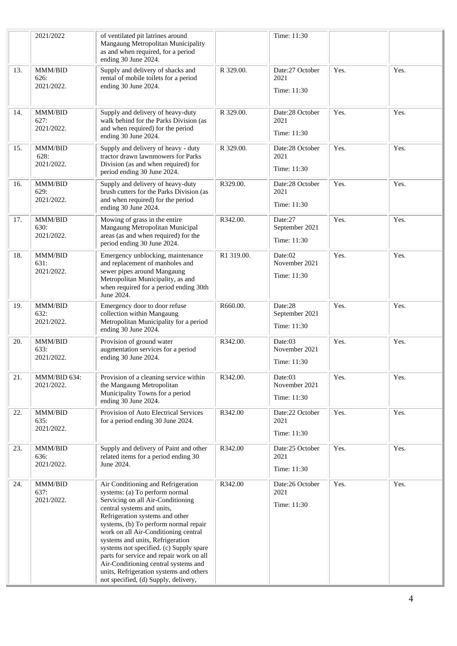|     | 2021/2022                     | of ventilated pit latrines around<br>Mangaung Metropolitan Municipality<br>as and when required, for a period<br>ending 30 June 2024.                                                                                                                                                                                                                                                                                                                                                                             |            | Time: 11:30                              |      |      |
|-----|-------------------------------|-------------------------------------------------------------------------------------------------------------------------------------------------------------------------------------------------------------------------------------------------------------------------------------------------------------------------------------------------------------------------------------------------------------------------------------------------------------------------------------------------------------------|------------|------------------------------------------|------|------|
| 13. | MMM/BID<br>626:<br>2021/2022. | Supply and delivery of shacks and<br>rental of mobile toilets for a period<br>ending 30 June 2024.                                                                                                                                                                                                                                                                                                                                                                                                                | R 329.00.  | Date:27 October<br>2021<br>Time: 11:30   | Yes. | Yes. |
| 14. | MMM/BID<br>627:<br>2021/2022. | Supply and delivery of heavy-duty<br>walk behind for the Parks Division (as<br>and when required) for the period<br>ending 30 June 2024.                                                                                                                                                                                                                                                                                                                                                                          | R 329.00.  | Date:28 October<br>2021<br>Time: 11:30   | Yes. | Yes. |
| 15. | MMM/BID<br>628:<br>2021/2022. | Supply and delivery of heavy - duty<br>tractor drawn lawnmowers for Parks<br>Division (as and when required) for<br>period ending 30 June 2024.                                                                                                                                                                                                                                                                                                                                                                   | R 329.00.  | Date:28 October<br>2021<br>Time: 11:30   | Yes. | Yes. |
| 16. | MMM/BID<br>629:<br>2021/2022. | Supply and delivery of heavy-duty<br>brush cutters for the Parks Division (as<br>and when required) for the period<br>ending 30 June 2024.                                                                                                                                                                                                                                                                                                                                                                        | R329.00.   | Date:28 October<br>2021<br>Time: 11:30   | Yes. | Yes. |
| 17. | MMM/BID<br>630:<br>2021/2022. | Mowing of grass in the entire<br>Mangaung Metropolitan Municipal<br>areas (as and when required) for the<br>period ending 30 June 2024.                                                                                                                                                                                                                                                                                                                                                                           | R342.00.   | Date:27<br>September 2021<br>Time: 11:30 | Yes. | Yes. |
| 18. | MMM/BID<br>631:<br>2021/2022. | Emergency unblocking, maintenance<br>and replacement of manholes and<br>sewer pipes around Mangaung<br>Metropolitan Municipality, as and<br>when required for a period ending 30th<br>June 2024.                                                                                                                                                                                                                                                                                                                  | R1 319.00. | Date:02<br>November 2021<br>Time: 11:30  | Yes. | Yes. |
| 19. | MMM/BID<br>632:<br>2021/2022. | Emergency door to door refuse<br>collection within Mangaung<br>Metropolitan Municipality for a period<br>ending 30 June 2024.                                                                                                                                                                                                                                                                                                                                                                                     | R660.00.   | Date:28<br>September 2021<br>Time: 11:30 | Yes. | Yes. |
| 20. | MMM/BID<br>633:<br>2021/2022. | Provision of ground water<br>augmentation services for a period<br>ending 30 June 2024.                                                                                                                                                                                                                                                                                                                                                                                                                           | R342.00.   | Date:03<br>November 2021<br>Time: 11:30  | Yes. | Yes. |
| 21. | MMM/BID 634:<br>2021/2022.    | Provision of a cleaning service within<br>the Mangaung Metropolitan<br>Municipality Towns for a period<br>ending 30 June 2024.                                                                                                                                                                                                                                                                                                                                                                                    | R342.00.   | Date:03<br>November 2021<br>Time: 11:30  | Yes. | Yes. |
| 22. | MMM/BID<br>635:<br>2021/2022. | Provision of Auto Electrical Services<br>for a period ending 30 June 2024.                                                                                                                                                                                                                                                                                                                                                                                                                                        | R342.00    | Date:22 October<br>2021<br>Time: 11:30   | Yes. | Yes. |
| 23. | MMM/BID<br>636:<br>2021/2022. | Supply and delivery of Paint and other<br>related items for a period ending 30<br>June 2024.                                                                                                                                                                                                                                                                                                                                                                                                                      | R342.00    | Date:25 October<br>2021<br>Time: 11:30   | Yes. | Yes. |
| 24. | MMM/BID<br>637:<br>2021/2022. | Air Conditioning and Refrigeration<br>systems: (a) To perform normal<br>Servicing on all Air-Conditioning<br>central systems and units,<br>Refrigeration systems and other<br>systems, (b) To perform normal repair<br>work on all Air-Conditioning central<br>systems and units, Refrigeration<br>systems not specified. (c) Supply spare<br>parts for service and repair work on all<br>Air-Conditioning central systems and<br>units, Refrigeration systems and others<br>not specified, (d) Supply, delivery, | R342.00    | Date:26 October<br>2021<br>Time: 11:30   | Yes. | Yes. |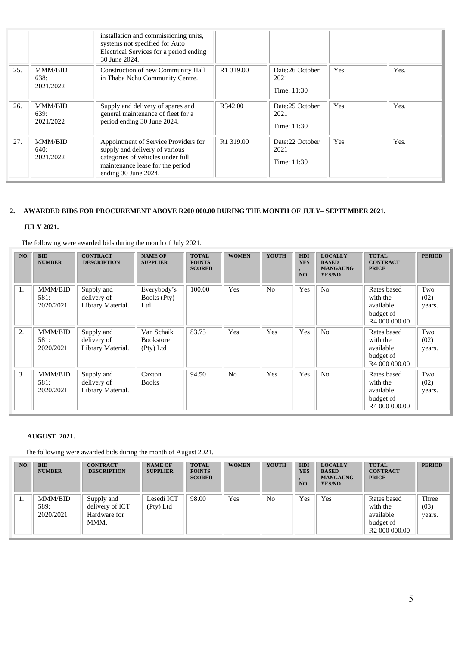|     |                                     | installation and commissioning units,<br>systems not specified for Auto<br>Electrical Services for a period ending<br>30 June 2024.                                     |                       |                                        |      |      |
|-----|-------------------------------------|-------------------------------------------------------------------------------------------------------------------------------------------------------------------------|-----------------------|----------------------------------------|------|------|
| 25. | <b>MMM/BID</b><br>638:<br>2021/2022 | Construction of new Community Hall<br>in Thaba Nchu Community Centre.                                                                                                   | R1 319.00             | Date:26 October<br>2021<br>Time: 11:30 | Yes. | Yes. |
| 26. | <b>MMM/BID</b><br>639:<br>2021/2022 | Supply and delivery of spares and<br>general maintenance of fleet for a<br>period ending 30 June 2024.                                                                  | R342.00               | Date:25 October<br>2021<br>Time: 11:30 | Yes. | Yes. |
| 27. | <b>MMM/BID</b><br>640:<br>2021/2022 | Appointment of Service Providers for<br>supply and delivery of various<br>categories of vehicles under full<br>maintenance lease for the period<br>ending 30 June 2024. | R <sub>1</sub> 319.00 | Date:22 October<br>2021<br>Time: 11:30 | Yes. | Yes. |

### **2. AWARDED BIDS FOR PROCUREMENT ABOVE R200 000.00 DURING THE MONTH OF JULY– SEPTEMBER 2021.**

# **JULY 2021.**

The following were awarded bids during the month of July 2021.

| NO. | <b>BID</b><br><b>NUMBER</b>         | <b>CONTRACT</b><br><b>DESCRIPTION</b>          | <b>NAME OF</b><br><b>SUPPLIER</b>           | <b>TOTAL</b><br><b>POINTS</b><br><b>SCORED</b> | <b>WOMEN</b>   | <b>YOUTH</b>   | <b>HDI</b><br><b>YES</b><br>N <sub>O</sub> | <b>LOCALLY</b><br><b>BASED</b><br><b>MANGAUNG</b><br>YES/NO | <b>TOTAL</b><br><b>CONTRACT</b><br><b>PRICE</b>                                | <b>PERIOD</b>         |
|-----|-------------------------------------|------------------------------------------------|---------------------------------------------|------------------------------------------------|----------------|----------------|--------------------------------------------|-------------------------------------------------------------|--------------------------------------------------------------------------------|-----------------------|
| 1.  | <b>MMM/BID</b><br>581:<br>2020/2021 | Supply and<br>delivery of<br>Library Material. | Everybody's<br>Books (Pty)<br>Ltd           | 100.00                                         | Yes            | N <sub>0</sub> | Yes                                        | N <sub>o</sub>                                              | Rates based<br>with the<br>available<br>budget of<br>R <sub>4</sub> 000 000.00 | Two<br>(02)<br>years. |
| 2.  | <b>MMM/BID</b><br>581:<br>2020/2021 | Supply and<br>delivery of<br>Library Material. | Van Schaik<br><b>Bookstore</b><br>(Pty) Ltd | 83.75                                          | Yes            | Yes            | Yes                                        | N <sub>o</sub>                                              | Rates based<br>with the<br>available<br>budget of<br>R <sub>4</sub> 000 000.00 | Two<br>(02)<br>years. |
| 3.  | <b>MMM/BID</b><br>581:<br>2020/2021 | Supply and<br>delivery of<br>Library Material. | Caxton<br><b>Books</b>                      | 94.50                                          | N <sub>0</sub> | Yes            | Yes                                        | N <sub>o</sub>                                              | Rates based<br>with the<br>available<br>budget of<br>R <sub>4</sub> 000 000.00 | Two<br>(02)<br>years. |

### **AUGUST 2021.**

The following were awarded bids during the month of August 2021.

| NO. | <b>BID</b><br><b>NUMBER</b>  | <b>CONTRACT</b><br><b>DESCRIPTION</b>                 | <b>NAME OF</b><br><b>SUPPLIER</b> | <b>TOTAL</b><br><b>POINTS</b><br><b>SCORED</b> | <b>WOMEN</b> | <b>YOUTH</b>   | HDI<br><b>YES</b><br><b>NO</b> | <b>LOCALLY</b><br><b>BASED</b><br><b>MANGAUNG</b><br><b>YES/NO</b> | <b>TOTAL</b><br><b>CONTRACT</b><br><b>PRICE</b>                                | <b>PERIOD</b>           |
|-----|------------------------------|-------------------------------------------------------|-----------------------------------|------------------------------------------------|--------------|----------------|--------------------------------|--------------------------------------------------------------------|--------------------------------------------------------------------------------|-------------------------|
| -1. | MMM/BID<br>589:<br>2020/2021 | Supply and<br>delivery of ICT<br>Hardware for<br>MMM. | Lesedi ICT<br>(Pty) Ltd           | 98.00                                          | Yes          | N <sub>0</sub> | Yes                            | Yes                                                                | Rates based<br>with the<br>available<br>budget of<br>R <sub>2</sub> 000 000.00 | Three<br>(03)<br>years. |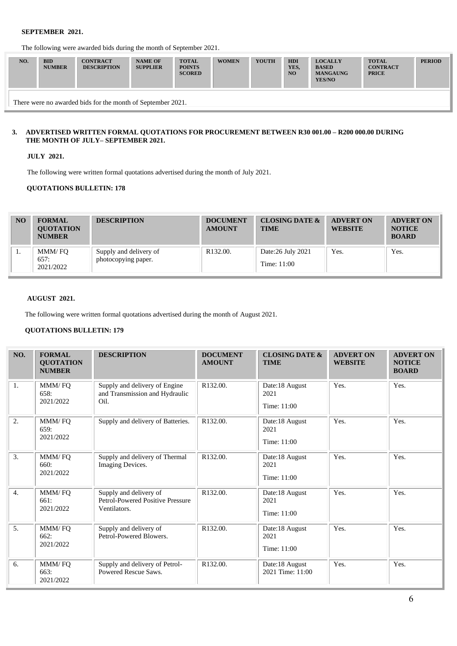The following were awarded bids during the month of September 2021.

| NO. | <b>BID</b><br><b>NUMBER</b> | <b>CONTRACT</b><br><b>DESCRIPTION</b> | <b>NAME OF</b><br><b>SUPPLIER</b> | <b>TOTAL</b><br><b>POINTS</b><br><b>SCORED</b> | <b>WOMEN</b> | <b>YOUTH</b> | <b>HDI</b><br>YES.<br>N <sub>O</sub> | <b>LOCALLY</b><br><b>BASED</b><br><b>MANGAUNG</b><br>YES/NO | <b>TOTAL</b><br><b>CONTRACT</b><br><b>PRICE</b> | <b>PERIOD</b> |
|-----|-----------------------------|---------------------------------------|-----------------------------------|------------------------------------------------|--------------|--------------|--------------------------------------|-------------------------------------------------------------|-------------------------------------------------|---------------|
|     |                             |                                       |                                   |                                                |              |              |                                      |                                                             |                                                 |               |

There were no awarded bids for the month of September 2021.

#### **3. ADVERTISED WRITTEN FORMAL QUOTATIONS FOR PROCUREMENT BETWEEN R30 001.00 – R200 000.00 DURING THE MONTH OF JULY– SEPTEMBER 2021.**

**JULY 2021.**

The following were written formal quotations advertised during the month of July 2021.

### **QUOTATIONS BULLETIN: 178**

| N <sub>O</sub> | <b>FORMAL</b><br><b>OUOTATION</b><br><b>NUMBER</b> | <b>DESCRIPTION</b>                            | <b>DOCUMENT</b><br><b>AMOUNT</b> | <b>CLOSING DATE &amp;</b><br><b>TIME</b> | <b>ADVERT ON</b><br><b>WEBSITE</b> | <b>ADVERT ON</b><br><b>NOTICE</b><br><b>BOARD</b> |
|----------------|----------------------------------------------------|-----------------------------------------------|----------------------------------|------------------------------------------|------------------------------------|---------------------------------------------------|
| .,             | MMM/FO<br>657:<br>2021/2022                        | Supply and delivery of<br>photocopying paper. | R <sub>132.00</sub> .            | Date:26 July 2021<br>Time: 11:00         | Yes.                               | Yes.                                              |

### **AUGUST 2021.**

The following were written formal quotations advertised during the month of August 2021.

### **QUOTATIONS BULLETIN: 179**

| NO.              | <b>FORMAL</b><br><b>OUOTATION</b><br><b>NUMBER</b> | <b>DESCRIPTION</b>                                                         | <b>DOCUMENT</b><br><b>AMOUNT</b> | <b>CLOSING DATE &amp;</b><br><b>TIME</b> | <b>ADVERT ON</b><br><b>WEBSITE</b> | <b>ADVERT ON</b><br><b>NOTICE</b><br><b>BOARD</b> |
|------------------|----------------------------------------------------|----------------------------------------------------------------------------|----------------------------------|------------------------------------------|------------------------------------|---------------------------------------------------|
| 1.               | MMM/FQ<br>658:<br>2021/2022                        | Supply and delivery of Engine<br>and Transmission and Hydraulic<br>Oil.    | R132.00.                         | Date:18 August<br>2021<br>Time: 11:00    | Yes.                               | Yes.                                              |
| 2.               | MMM/FQ<br>659:<br>2021/2022                        | Supply and delivery of Batteries.                                          | R132.00.                         | Date:18 August<br>2021<br>Time: 11:00    | Yes.                               | Yes.                                              |
| 3.               | MMM/FQ<br>660:<br>2021/2022                        | Supply and delivery of Thermal<br>Imaging Devices.                         | R132.00.                         | Date:18 August<br>2021<br>Time: 11:00    | Yes.                               | Yes.                                              |
| $\overline{4}$ . | MMM/FQ<br>661:<br>2021/2022                        | Supply and delivery of<br>Petrol-Powered Positive Pressure<br>Ventilators. | R132.00.                         | Date:18 August<br>2021<br>Time: 11:00    | Yes.                               | Yes.                                              |
| 5.               | MMM/FQ<br>662:<br>2021/2022                        | Supply and delivery of<br>Petrol-Powered Blowers.                          | R132.00.                         | Date:18 August<br>2021<br>Time: 11:00    | Yes.                               | Yes.                                              |
| 6.               | MMM/FQ<br>663:<br>2021/2022                        | Supply and delivery of Petrol-<br>Powered Rescue Saws.                     | R132.00.                         | Date:18 August<br>2021 Time: 11:00       | Yes.                               | Yes.                                              |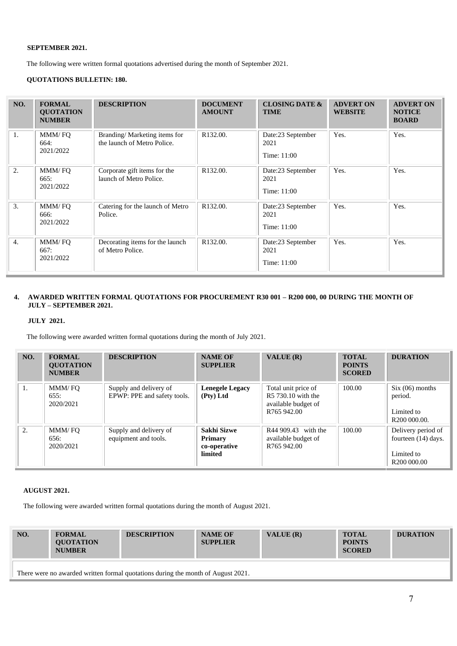The following were written formal quotations advertised during the month of September 2021.

## **QUOTATIONS BULLETIN: 180.**

| NO.              | <b>FORMAL</b><br><b>OUOTATION</b><br><b>NUMBER</b> | <b>DESCRIPTION</b>                                          | <b>DOCUMENT</b><br><b>AMOUNT</b> | <b>CLOSING DATE &amp;</b><br><b>TIME</b> | <b>ADVERT ON</b><br><b>WEBSITE</b> | <b>ADVERT ON</b><br><b>NOTICE</b><br><b>BOARD</b> |
|------------------|----------------------------------------------------|-------------------------------------------------------------|----------------------------------|------------------------------------------|------------------------------------|---------------------------------------------------|
| 1.               | MMM/FO<br>664:<br>2021/2022                        | Branding/Marketing items for<br>the launch of Metro Police. | R132.00.                         | Date:23 September<br>2021<br>Time: 11:00 | Yes.                               | Yes.                                              |
| 2.               | MMM/FQ<br>665:<br>2021/2022                        | Corporate gift items for the<br>launch of Metro Police.     | R132.00.                         | Date:23 September<br>2021<br>Time: 11:00 | Yes.                               | Yes.                                              |
| 3.               | MMM/FO<br>666:<br>2021/2022                        | Catering for the launch of Metro<br>Police.                 | R132.00.                         | Date:23 September<br>2021<br>Time: 11:00 | Yes.                               | Yes.                                              |
| $\overline{4}$ . | MMM/FO<br>667:<br>2021/2022                        | Decorating items for the launch<br>of Metro Police.         | R132.00.                         | Date:23 September<br>2021<br>Time: 11:00 | Yes.                               | Yes.                                              |

### **4. AWARDED WRITTEN FORMAL QUOTATIONS FOR PROCUREMENT R30 001 – R200 000, 00 DURING THE MONTH OF JULY – SEPTEMBER 2021.**

#### **JULY 2021.**

The following were awarded written formal quotations during the month of July 2021.

| NO. | <b>FORMAL</b><br><b>OUOTATION</b><br><b>NUMBER</b> | <b>DESCRIPTION</b>                                    | <b>NAME OF</b><br><b>SUPPLIER</b>                        | VALUE (R)                                                                       | <b>TOTAL</b><br><b>POINTS</b><br><b>SCORED</b> | <b>DURATION</b>                                                                    |
|-----|----------------------------------------------------|-------------------------------------------------------|----------------------------------------------------------|---------------------------------------------------------------------------------|------------------------------------------------|------------------------------------------------------------------------------------|
| 1.  | MMM/FO<br>655:<br>2020/2021                        | Supply and delivery of<br>EPWP: PPE and safety tools. | <b>Lenegele Legacy</b><br>(Pty) Ltd                      | Total unit price of<br>R5 730.10 with the<br>available budget of<br>R765 942.00 | 100.00                                         | Six (06) months<br>period.<br>Limited to<br>R <sub>200</sub> 000.00.               |
| 2.  | MMM/FO<br>656:<br>2020/2021                        | Supply and delivery of<br>equipment and tools.        | Sakhi Sizwe<br><b>Primary</b><br>co-operative<br>limited | R44 909.43 with the<br>available budget of<br>R765 942.00                       | 100.00                                         | Delivery period of<br>fourteen (14) days.<br>Limited to<br>R <sub>200</sub> 000.00 |

### **AUGUST 2021.**

The following were awarded written formal quotations during the month of August 2021.

| NO.                                                                              | <b>FORMAL</b><br><b>OUOTATION</b><br><b>NUMBER</b> | <b>DESCRIPTION</b> | <b>NAME OF</b><br><b>SUPPLIER</b> | VALUE $(R)$ | <b>TOTAL</b><br><b>POINTS</b><br><b>SCORED</b> | <b>DURATION</b> |  |  |  |
|----------------------------------------------------------------------------------|----------------------------------------------------|--------------------|-----------------------------------|-------------|------------------------------------------------|-----------------|--|--|--|
| There were no awarded written formal quotations during the month of August 2021. |                                                    |                    |                                   |             |                                                |                 |  |  |  |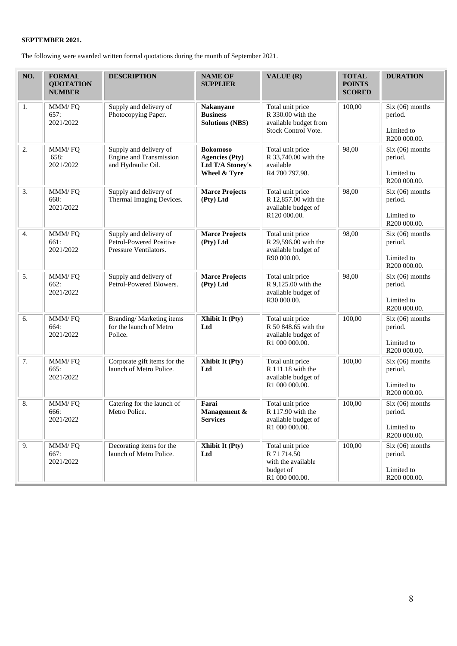The following were awarded written formal quotations during the month of September 2021.

| NO.              | <b>FORMAL</b><br><b>QUOTATION</b><br><b>NUMBER</b> | <b>DESCRIPTION</b>                                                                                                                                                                                          | <b>NAME OF</b><br><b>SUPPLIER</b>                                                                                     | VALUE (R)                                                                             | <b>TOTAL</b><br><b>POINTS</b><br><b>SCORED</b>             | <b>DURATION</b>                                            |
|------------------|----------------------------------------------------|-------------------------------------------------------------------------------------------------------------------------------------------------------------------------------------------------------------|-----------------------------------------------------------------------------------------------------------------------|---------------------------------------------------------------------------------------|------------------------------------------------------------|------------------------------------------------------------|
| 1.               | MMM/FQ<br>657:<br>2021/2022                        | Supply and delivery of<br>Photocopying Paper.                                                                                                                                                               | <b>Nakanyane</b><br><b>Business</b><br><b>Solutions (NBS)</b>                                                         | Total unit price<br>R 330.00 with the<br>available budget from<br>Stock Control Vote. | 100,00                                                     | $Six (06)$ months<br>period.<br>Limited to<br>R200 000.00. |
| $\overline{2}$ . | MMM/FQ<br>658:<br>2021/2022                        | Supply and delivery of<br>Engine and Transmission<br>and Hydraulic Oil.                                                                                                                                     | <b>Bokomoso</b><br><b>Agencies (Pty)</b><br>Ltd T/A Stoney's<br>Wheel & Tyre                                          | Total unit price<br>R 33,740.00 with the<br>available<br>R4 780 797.98.               | 98,00                                                      | $Six (06)$ months<br>period.<br>Limited to<br>R200 000.00. |
| 3.               | MMM/FQ<br>660:<br>2021/2022                        | Supply and delivery of<br>Thermal Imaging Devices.                                                                                                                                                          | <b>Marce Projects</b><br>Total unit price<br>R 12,857.00 with the<br>(Pty) Ltd<br>available budget of<br>R120 000.00. |                                                                                       | 98,00                                                      | $Six (06)$ months<br>period.<br>Limited to<br>R200 000.00. |
| 4.               | MMM/FQ<br>661:<br>2021/2022                        | 98,00<br>Supply and delivery of<br><b>Marce Projects</b><br>Total unit price<br>Petrol-Powered Positive<br>R 29,596.00 with the<br>(Pty) Ltd<br>Pressure Ventilators.<br>available budget of<br>R90 000.00. |                                                                                                                       |                                                                                       | $Six (06)$ months<br>period.<br>Limited to<br>R200 000.00. |                                                            |
| 5.               | MMM/FQ<br>662:<br>2021/2022                        | Supply and delivery of<br>Petrol-Powered Blowers.                                                                                                                                                           | <b>Marce Projects</b><br>(Pty) Ltd                                                                                    | Total unit price<br>R 9,125.00 with the<br>available budget of<br>R30 000.00.         | 98,00                                                      | $Six (06)$ months<br>period.<br>Limited to<br>R200 000.00. |
| 6.               | MMM/FQ<br>664:<br>2021/2022                        | Branding/Marketing items<br>for the launch of Metro<br>Police.                                                                                                                                              | Xhibit It (Pty)<br>Total unit price<br>R 50 848.65 with the<br>Ltd<br>available budget of<br>R1 000 000.00.           |                                                                                       | 100,00                                                     | $Six (06)$ months<br>period.<br>Limited to<br>R200 000.00. |
| 7.               | MMM/FQ<br>665:<br>2021/2022                        | Corporate gift items for the<br>launch of Metro Police.                                                                                                                                                     | Xhibit It (Pty)<br>Ltd                                                                                                | Total unit price<br>R 111.18 with the<br>available budget of<br>R1 000 000.00.        | 100,00                                                     | $Six (06)$ months<br>period.<br>Limited to<br>R200 000.00. |
| 8.               | MMM/FQ<br>666:<br>2021/2022                        | Catering for the launch of<br>Metro Police.                                                                                                                                                                 | Farai<br>Management &<br><b>Services</b>                                                                              | Total unit price<br>R 117.90 with the<br>available budget of<br>R1 000 000.00.        | 100,00                                                     | $Six (06)$ months<br>period.<br>Limited to<br>R200 000.00. |
| 9.               | MMM/FQ<br>667:<br>2021/2022                        | Decorating items for the<br>launch of Metro Police.                                                                                                                                                         | Xhibit It (Pty)<br>Ltd                                                                                                | Total unit price<br>R 71 714.50<br>with the available<br>budget of<br>R1 000 000.00.  | 100,00                                                     | $Six (06)$ months<br>period.<br>Limited to<br>R200 000.00. |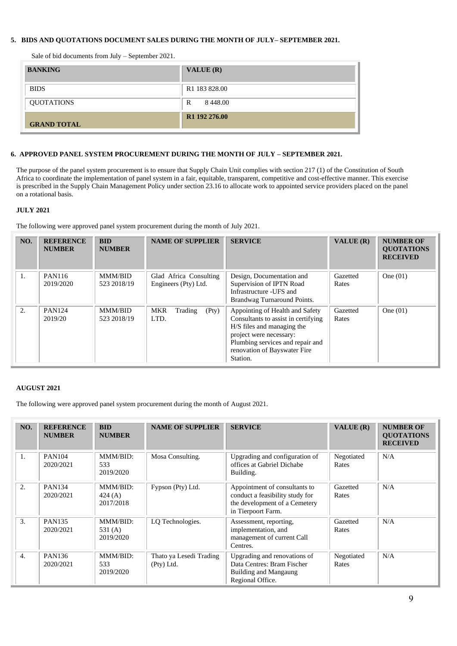### **5. BIDS AND QUOTATIONS DOCUMENT SALES DURING THE MONTH OF JULY– SEPTEMBER 2021.**

Sale of bid documents from July – September 2021.

| <b>BANKING</b>     | <b>VALUE</b> $(R)$        |
|--------------------|---------------------------|
| <b>BIDS</b>        | R <sub>1</sub> 183 828.00 |
| QUOTATIONS         | 8 4 4 8 .00<br>R          |
| <b>GRAND TOTAL</b> | R <sub>1</sub> 192 276.00 |

#### **6. APPROVED PANEL SYSTEM PROCUREMENT DURING THE MONTH OF JULY – SEPTEMBER 2021.**

The purpose of the panel system procurement is to ensure that Supply Chain Unit complies with section 217 (1) of the Constitution of South Africa to coordinate the implementation of panel system in a fair, equitable, transparent, competitive and cost-effective manner. This exercise is prescribed in the Supply Chain Management Policy under section 23.16 to allocate work to appointed service providers placed on the panel on a rotational basis.

#### **JULY 2021**

The following were approved panel system procurement during the month of July 2021.

| NO. | <b>REFERENCE</b><br><b>NUMBER</b> | <b>BID</b><br><b>NUMBER</b>   | <b>NAME OF SUPPLIER</b>                        | <b>SERVICE</b>                                                                                                                                                                                                  | VALUE (R)         | <b>NUMBER OF</b><br><b>OUOTATIONS</b><br><b>RECEIVED</b> |
|-----|-----------------------------------|-------------------------------|------------------------------------------------|-----------------------------------------------------------------------------------------------------------------------------------------------------------------------------------------------------------------|-------------------|----------------------------------------------------------|
| 1.  | PAN116<br>2019/2020               | <b>MMM/BID</b><br>523 2018/19 | Glad Africa Consulting<br>Engineers (Pty) Ltd. | Design, Documentation and<br>Supervision of IPTN Road<br>Infrastructure -UFS and<br>Brandwag Turnaround Points.                                                                                                 | Gazetted<br>Rates | One $(01)$                                               |
| 2.  | <b>PAN124</b><br>2019/20          | <b>MMM/BID</b><br>523 2018/19 | MKR<br>(Pty)<br>Trading<br>LTD.                | Appointing of Health and Safety<br>Consultants to assist in certifying<br>H/S files and managing the<br>project were necessary:<br>Plumbing services and repair and<br>renovation of Bayswater Fire<br>Station. | Gazetted<br>Rates | One $(01)$                                               |

#### **AUGUST 2021**

The following were approved panel system procurement during the month of August 2021.

| NO.              | <b>REFERENCE</b><br><b>NUMBER</b> | <b>BID</b><br><b>NUMBER</b>        | <b>NAME OF SUPPLIER</b>               | <b>SERVICE</b>                                                                                                          | VALUE $(R)$         | <b>NUMBER OF</b><br><b>QUOTATIONS</b><br><b>RECEIVED</b> |
|------------------|-----------------------------------|------------------------------------|---------------------------------------|-------------------------------------------------------------------------------------------------------------------------|---------------------|----------------------------------------------------------|
| 1.               | <b>PAN104</b><br>2020/2021        | MMM/BID:<br>533<br>2019/2020       | Mosa Consulting.                      | Upgrading and configuration of<br>offices at Gabriel Dichabe<br>Building.                                               | Negotiated<br>Rates | N/A                                                      |
| 2.               | <b>PAN134</b><br>2020/2021        | MMM/BID:<br>424(A)<br>2017/2018    | Fypson (Pty) Ltd.                     | Appointment of consultants to<br>conduct a feasibility study for<br>the development of a Cemetery<br>in Tierpoort Farm. | Gazetted<br>Rates   | N/A                                                      |
| 3.               | <b>PAN135</b><br>2020/2021        | MMM/BID:<br>531 $(A)$<br>2019/2020 | LO Technologies.                      | Assessment, reporting,<br>implementation, and<br>management of current Call<br>Centres.                                 | Gazetted<br>Rates   | N/A                                                      |
| $\overline{4}$ . | PAN <sub>136</sub><br>2020/2021   | MMM/BID:<br>533<br>2019/2020       | Thato ya Lesedi Trading<br>(Pty) Ltd. | Upgrading and renovations of<br>Data Centres: Bram Fischer<br>Building and Mangaung<br>Regional Office.                 | Negotiated<br>Rates | N/A                                                      |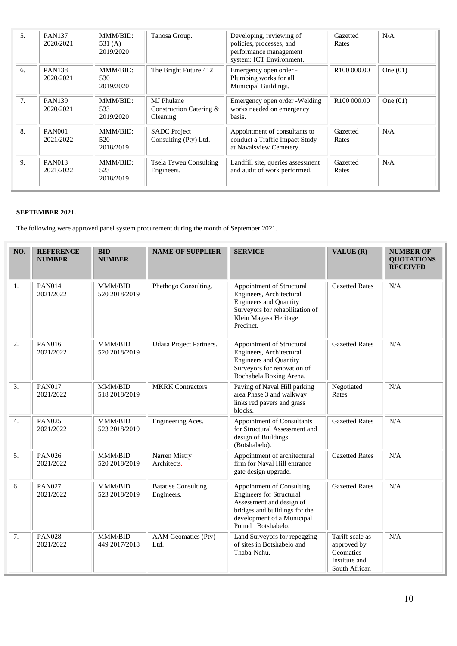| 5.             | <b>PAN137</b><br>2020/2021 | MMM/RID:<br>531(A)<br>2019/2020 | Tanosa Group.                                      | Developing, reviewing of<br>policies, processes, and<br>performance management<br>system: ICT Environment. | Gazetted<br>Rates       | N/A        |
|----------------|----------------------------|---------------------------------|----------------------------------------------------|------------------------------------------------------------------------------------------------------------|-------------------------|------------|
| 6.             | <b>PAN138</b><br>2020/2021 | MMM/BID:<br>530<br>2019/2020    | The Bright Future 412                              | Emergency open order -<br>Plumbing works for all<br>Municipal Buildings.                                   | R <sub>100</sub> 000.00 | One $(01)$ |
| 7 <sub>1</sub> | <b>PAN139</b><br>2020/2021 | MMM/BID:<br>533<br>2019/2020    | MJ Phulane<br>Construction Catering &<br>Cleaning. | Emergency open order - Welding<br>works needed on emergency<br>basis.                                      | R <sub>100</sub> 000.00 | One $(01)$ |
| 8.             | <b>PAN001</b><br>2021/2022 | MMM/BID:<br>520<br>2018/2019    | <b>SADC</b> Project<br>Consulting (Pty) Ltd.       | Appointment of consultants to<br>conduct a Traffic Impact Study<br>at Navalsview Cemetery.                 | Gazetted<br>Rates       | N/A        |
| 9.             | <b>PAN013</b><br>2021/2022 | MMM/BID:<br>523<br>2018/2019    | <b>Tsela Tsweu Consulting</b><br>Engineers.        | Landfill site, queries assessment<br>and audit of work performed.                                          | Gazetted<br>Rates       | N/A        |

The following were approved panel system procurement during the month of September 2021.

| NO.              | <b>REFERENCE</b><br><b>NUMBER</b> | <b>BID</b><br><b>NUMBER</b> | <b>NAME OF SUPPLIER</b>                  | <b>SERVICE</b>                                                                                                                                                               | VALUE (R)                                                                     | <b>NUMBER OF</b><br><b>OUOTATIONS</b><br><b>RECEIVED</b> |
|------------------|-----------------------------------|-----------------------------|------------------------------------------|------------------------------------------------------------------------------------------------------------------------------------------------------------------------------|-------------------------------------------------------------------------------|----------------------------------------------------------|
| 1.               | <b>PAN014</b><br>2021/2022        | MMM/BID<br>520 2018/2019    | Phethogo Consulting.                     | Appointment of Structural<br>Engineers, Architectural<br><b>Engineers and Quantity</b><br>Surveyors for rehabilitation of<br>Klein Magasa Heritage<br>Precinct.              | <b>Gazetted Rates</b>                                                         | N/A                                                      |
| 2.               | <b>PAN016</b><br>2021/2022        | MMM/BID<br>520 2018/2019    | Udasa Project Partners.                  | Appointment of Structural<br>Engineers, Architectural<br><b>Engineers and Quantity</b><br>Surveyors for renovation of<br>Bochabela Boxing Arena.                             | <b>Gazetted Rates</b>                                                         | N/A                                                      |
| 3.               | <b>PAN017</b><br>2021/2022        | MMM/BID<br>518 2018/2019    | <b>MKRK</b> Contractors.                 | Paving of Naval Hill parking<br>area Phase 3 and walkway<br>links red pavers and grass<br>blocks.                                                                            | Negotiated<br>Rates                                                           | N/A                                                      |
| $\overline{4}$ . | <b>PAN025</b><br>2021/2022        | MMM/BID<br>523 2018/2019    | Engineering Aces.                        | <b>Appointment of Consultants</b><br>for Structural Assessment and<br>design of Buildings<br>(Botshabelo).                                                                   | <b>Gazetted Rates</b>                                                         | N/A                                                      |
| 5.               | <b>PAN026</b><br>2021/2022        | MMM/BID<br>520 2018/2019    | Narren Mistry<br>Architects.             | Appointment of architectural<br>firm for Naval Hill entrance<br>gate design upgrade.                                                                                         | <b>Gazetted Rates</b>                                                         | N/A                                                      |
| 6.               | <b>PAN027</b><br>2021/2022        | MMM/BID<br>523 2018/2019    | <b>Batatise Consulting</b><br>Engineers. | Appointment of Consulting<br><b>Engineers for Structural</b><br>Assessment and design of<br>bridges and buildings for the<br>development of a Municipal<br>Pound Botshabelo. | <b>Gazetted Rates</b>                                                         | N/A                                                      |
| 7.               | <b>PAN028</b><br>2021/2022        | MMM/BID<br>449 2017/2018    | <b>AAM</b> Geomatics (Pty)<br>Ltd.       | Land Surveyors for repegging<br>of sites in Botshabelo and<br>Thaba-Nchu.                                                                                                    | Tariff scale as<br>approved by<br>Geomatics<br>Institute and<br>South African | N/A                                                      |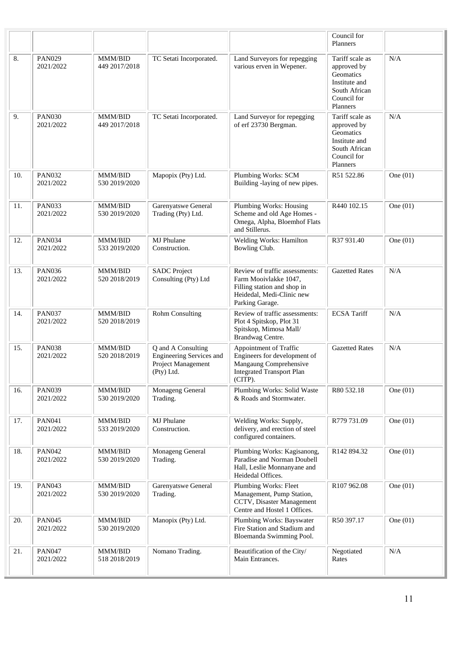|     |                            |                          |                                                                                    |                                                                                                                                        | Council for<br>Planners                                                                                  |            |
|-----|----------------------------|--------------------------|------------------------------------------------------------------------------------|----------------------------------------------------------------------------------------------------------------------------------------|----------------------------------------------------------------------------------------------------------|------------|
| 8.  | <b>PAN029</b><br>2021/2022 | MMM/BID<br>449 2017/2018 | TC Setati Incorporated.                                                            | Land Surveyors for repegging<br>various erven in Wepener.                                                                              | Tariff scale as<br>approved by<br>Geomatics<br>Institute and<br>South African<br>Council for<br>Planners | N/A        |
| 9.  | <b>PAN030</b><br>2021/2022 | MMM/BID<br>449 2017/2018 | TC Setati Incorporated.                                                            | Land Surveyor for repegging<br>of erf 23730 Bergman.                                                                                   | Tariff scale as<br>approved by<br>Geomatics<br>Institute and<br>South African<br>Council for<br>Planners | N/A        |
| 10. | <b>PAN032</b><br>2021/2022 | MMM/BID<br>530 2019/2020 | Mapopix (Pty) Ltd.                                                                 | Plumbing Works: SCM<br>Building -laying of new pipes.                                                                                  | R51 522.86                                                                                               | One $(01)$ |
| 11. | <b>PAN033</b><br>2021/2022 | MMM/BID<br>530 2019/2020 | Garenyatswe General<br>Trading (Pty) Ltd.                                          | Plumbing Works: Housing<br>Scheme and old Age Homes -<br>Omega, Alpha, Bloemhof Flats<br>and Stillerus.                                | R440 102.15                                                                                              | One $(01)$ |
| 12. | <b>PAN034</b><br>2021/2022 | MMM/BID<br>533 2019/2020 | MJ Phulane<br>Construction.                                                        | Welding Works: Hamilton<br>Bowling Club.                                                                                               | R37 931.40                                                                                               | One $(01)$ |
| 13. | <b>PAN036</b><br>2021/2022 | MMM/BID<br>520 2018/2019 | <b>SADC</b> Project<br>Consulting (Pty) Ltd                                        | Review of traffic assessments:<br>Farm Mooivlakke 1047,<br>Filling station and shop in<br>Heidedal, Medi-Clinic new<br>Parking Garage. | <b>Gazetted Rates</b>                                                                                    | N/A        |
| 14. | <b>PAN037</b><br>2021/2022 | MMM/BID<br>520 2018/2019 | <b>Rohm Consulting</b>                                                             | Review of traffic assessments:<br>Plot 4 Spitskop, Plot 31<br>Spitskop, Mimosa Mall/<br>Brandwag Centre.                               | <b>ECSA</b> Tariff                                                                                       | N/A        |
| 15. | <b>PAN038</b><br>2021/2022 | MMM/BID<br>520 2018/2019 | Q and A Consulting<br>Engineering Services and<br>Project Management<br>(Pty) Ltd. | Appointment of Traffic<br>Engineers for development of<br>Mangaung Comprehensive<br><b>Integrated Transport Plan</b><br>(CITP).        | <b>Gazetted Rates</b>                                                                                    | N/A        |
| 16. | <b>PAN039</b><br>2021/2022 | MMM/BID<br>530 2019/2020 | Monageng General<br>Trading.                                                       | Plumbing Works: Solid Waste<br>& Roads and Stormwater.                                                                                 | R80 532.18                                                                                               | One $(01)$ |
| 17. | PAN041<br>2021/2022        | MMM/BID<br>533 2019/2020 | MJ Phulane<br>Construction.                                                        | Welding Works: Supply,<br>delivery, and erection of steel<br>configured containers.                                                    | R779 731.09                                                                                              | One $(01)$ |
| 18. | <b>PAN042</b><br>2021/2022 | MMM/BID<br>530 2019/2020 | Monageng General<br>Trading.                                                       | Plumbing Works: Kagisanong,<br>Paradise and Norman Doubell<br>Hall, Leslie Monnanyane and<br>Heidedal Offices.                         | R142 894.32                                                                                              | One $(01)$ |
| 19. | <b>PAN043</b><br>2021/2022 | MMM/BID<br>530 2019/2020 | Garenyatswe General<br>Trading.                                                    | Plumbing Works: Fleet<br>Management, Pump Station,<br>CCTV, Disaster Management<br>Centre and Hostel 1 Offices.                        | R107962.08                                                                                               | One $(01)$ |
| 20. | <b>PAN045</b><br>2021/2022 | MMM/BID<br>530 2019/2020 | Manopix (Pty) Ltd.                                                                 | Plumbing Works: Bayswater<br>Fire Station and Stadium and<br>Bloemanda Swimming Pool.                                                  | R50 397.17                                                                                               | One $(01)$ |
| 21. | <b>PAN047</b><br>2021/2022 | MMM/BID<br>518 2018/2019 | Nomano Trading.                                                                    | Beautification of the City/<br>Main Entrances.                                                                                         | Negotiated<br>Rates                                                                                      | N/A        |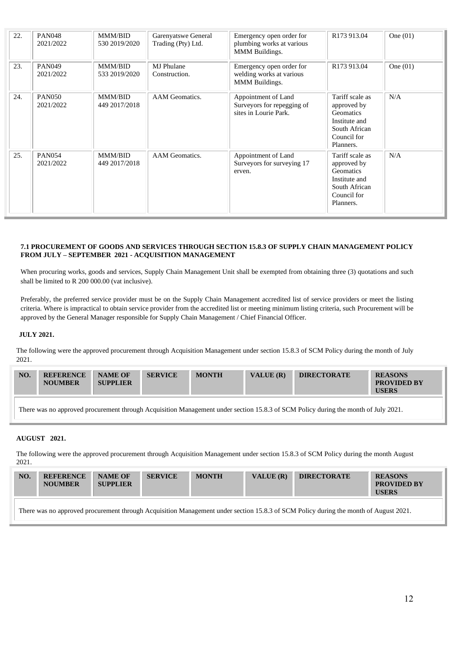| 22. | <b>PAN048</b><br>2021/2022 | <b>MMM/BID</b><br>530 2019/2020 | Garenyatswe General<br>Trading (Pty) Ltd. | Emergency open order for<br>plumbing works at various<br>MMM Buildings.       | R173 913.04                                                                                               | One $(01)$ |
|-----|----------------------------|---------------------------------|-------------------------------------------|-------------------------------------------------------------------------------|-----------------------------------------------------------------------------------------------------------|------------|
| 23. | <b>PAN049</b><br>2021/2022 | <b>MMM/BID</b><br>533 2019/2020 | <b>MJ</b> Phulane<br>Construction.        | Emergency open order for<br>welding works at various<br><b>MMM</b> Buildings. | R <sub>173</sub> 9 <sub>13.04</sub>                                                                       | One $(01)$ |
| 24. | <b>PAN050</b><br>2021/2022 | <b>MMM/BID</b><br>449 2017/2018 | AAM Geomatics.                            | Appointment of Land<br>Surveyors for repegging of<br>sites in Lourie Park.    | Tariff scale as<br>approved by<br>Geomatics<br>Institute and<br>South African<br>Council for<br>Planners. | N/A        |
| 25. | <b>PAN054</b><br>2021/2022 | <b>MMM/BID</b><br>449 2017/2018 | AAM Geomatics.                            | Appointment of Land<br>Surveyors for surveying 17<br>erven.                   | Tariff scale as<br>approved by<br>Geomatics<br>Institute and<br>South African<br>Council for<br>Planners. | N/A        |

#### **7.1 PROCUREMENT OF GOODS AND SERVICES THROUGH SECTION 15.8.3 OF SUPPLY CHAIN MANAGEMENT POLICY FROM JULY – SEPTEMBER 2021 - ACQUISITION MANAGEMENT**

When procuring works, goods and services, Supply Chain Management Unit shall be exempted from obtaining three (3) quotations and such shall be limited to R 200 000.00 (vat inclusive).

Preferably, the preferred service provider must be on the Supply Chain Management accredited list of service providers or meet the listing criteria. Where is impractical to obtain service provider from the accredited list or meeting minimum listing criteria, such Procurement will be approved by the General Manager responsible for Supply Chain Management / Chief Financial Officer.

### **JULY 2021.**

The following were the approved procurement through Acquisition Management under section 15.8.3 of SCM Policy during the month of July 2021.

| NO. | <b>REFERENCE</b><br><b>NOUMBER</b> | <b>NAME OF</b><br><b>SUPPLIER</b> | <b>SERVICE</b> | <b>MONTH</b> | <b>VALUE</b> $(R)$ | <b>DIRECTORATE</b> | <b>REASONS</b><br><b>PROVIDED BY</b><br><b>USERS</b> |
|-----|------------------------------------|-----------------------------------|----------------|--------------|--------------------|--------------------|------------------------------------------------------|
|-----|------------------------------------|-----------------------------------|----------------|--------------|--------------------|--------------------|------------------------------------------------------|

There was no approved procurement through Acquisition Management under section 15.8.3 of SCM Policy during the month of July 2021.

### **AUGUST 2021.**

The following were the approved procurement through Acquisition Management under section 15.8.3 of SCM Policy during the month August 2021.

| NO.                                                                                                                                  | <b>REFERENCE</b><br><b>NOUMBER</b> | <b>NAME OF</b><br><b>SUPPLIER</b> | <b>SERVICE</b> | <b>MONTH</b> | VALUE $(R)$ | <b>DIRECTORATE</b> | <b>REASONS</b><br><b>PROVIDED BY</b><br><b>USERS</b> |  |
|--------------------------------------------------------------------------------------------------------------------------------------|------------------------------------|-----------------------------------|----------------|--------------|-------------|--------------------|------------------------------------------------------|--|
| There was no approved procurement through Acquisition Management under section 15.8.3 of SCM Policy during the month of August 2021. |                                    |                                   |                |              |             |                    |                                                      |  |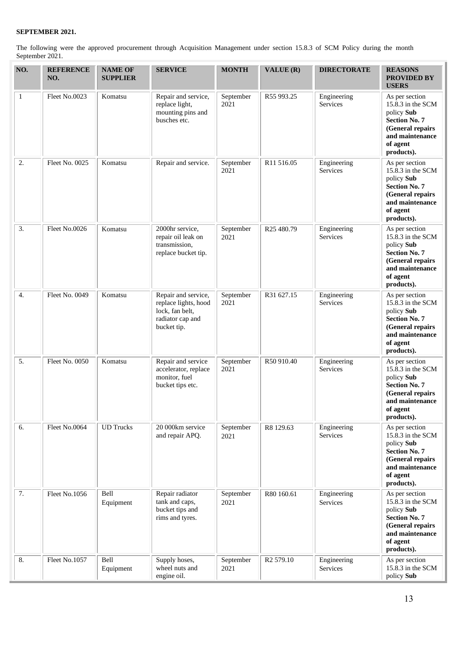The following were the approved procurement through Acquisition Management under section 15.8.3 of SCM Policy during the month September 2021.

| NO.              | <b>REFERENCE</b><br>NO. | <b>NAME OF</b><br><b>SUPPLIER</b> | <b>SERVICE</b>                                                                                    | <b>MONTH</b>      | VALUE (R)             | <b>DIRECTORATE</b>             | <b>REASONS</b><br><b>PROVIDED BY</b><br><b>USERS</b>                                                                                       |
|------------------|-------------------------|-----------------------------------|---------------------------------------------------------------------------------------------------|-------------------|-----------------------|--------------------------------|--------------------------------------------------------------------------------------------------------------------------------------------|
| $\mathbf{1}$     | Fleet No.0023           | Komatsu                           | Repair and service,<br>replace light,<br>mounting pins and<br>busches etc.                        | September<br>2021 | R55 993.25            | Engineering<br>Services        | As per section<br>15.8.3 in the SCM<br>policy Sub<br><b>Section No. 7</b><br>(General repairs<br>and maintenance<br>of agent<br>products). |
| 2.               | Fleet No. 0025          | Komatsu                           | Repair and service.                                                                               | September<br>2021 | R11 516.05            | Engineering<br><b>Services</b> | As per section<br>15.8.3 in the SCM<br>policy Sub<br><b>Section No. 7</b><br>(General repairs<br>and maintenance<br>of agent<br>products). |
| 3.               | Fleet No.0026           | Komatsu                           | 2000hr service,<br>repair oil leak on<br>transmission,<br>replace bucket tip.                     | September<br>2021 | R25 480.79            | Engineering<br><b>Services</b> | As per section<br>15.8.3 in the SCM<br>policy Sub<br><b>Section No. 7</b><br>(General repairs<br>and maintenance<br>of agent<br>products). |
| $\overline{4}$ . | Fleet No. 0049          | Komatsu                           | Repair and service,<br>replace lights, hood<br>lock, fan belt,<br>radiator cap and<br>bucket tip. | September<br>2021 | R31 627.15            | Engineering<br>Services        | As per section<br>15.8.3 in the SCM<br>policy Sub<br><b>Section No. 7</b><br>(General repairs<br>and maintenance<br>of agent<br>products). |
| 5.               | Fleet No. 0050          | Komatsu                           | Repair and service<br>accelerator, replace<br>monitor, fuel<br>bucket tips etc.                   | September<br>2021 | R50 910.40            | Engineering<br>Services        | As per section<br>15.8.3 in the SCM<br>policy Sub<br><b>Section No. 7</b><br>(General repairs<br>and maintenance<br>of agent<br>products). |
| 6.               | Fleet No.0064           | <b>UD</b> Trucks                  | 20 000km service<br>and repair APQ.                                                               | September<br>2021 | R8 129.63             | Engineering<br>Services        | As per section<br>15.8.3 in the SCM<br>policy Sub<br><b>Section No. 7</b><br>(General repairs<br>and maintenance<br>of agent<br>products). |
| 7.               | Fleet No.1056           | Bell<br>Equipment                 | Repair radiator<br>tank and caps,<br>bucket tips and<br>rims and tyres.                           | September<br>2021 | R80 160.61            | Engineering<br>Services        | As per section<br>15.8.3 in the SCM<br>policy Sub<br><b>Section No. 7</b><br>(General repairs<br>and maintenance<br>of agent<br>products). |
| 8.               | Fleet No.1057           | Bell<br>Equipment                 | Supply hoses,<br>wheel nuts and<br>engine oil.                                                    | September<br>2021 | R <sub>2</sub> 579.10 | Engineering<br>Services        | As per section<br>15.8.3 in the SCM<br>policy Sub                                                                                          |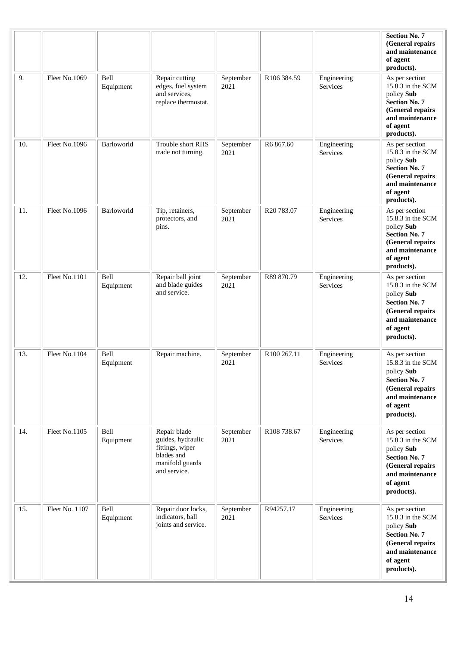|     |                |                   |                                                                                                       |                   |             |                                | <b>Section No. 7</b><br>(General repairs<br>and maintenance<br>of agent<br>products).                                                      |
|-----|----------------|-------------------|-------------------------------------------------------------------------------------------------------|-------------------|-------------|--------------------------------|--------------------------------------------------------------------------------------------------------------------------------------------|
| 9.  | Fleet No.1069  | Bell<br>Equipment | Repair cutting<br>edges, fuel system<br>and services,<br>replace thermostat.                          | September<br>2021 | R106 384.59 | Engineering<br><b>Services</b> | As per section<br>15.8.3 in the SCM<br>policy Sub<br><b>Section No. 7</b><br>(General repairs<br>and maintenance<br>of agent<br>products). |
| 10. | Fleet No.1096  | Barloworld        | Trouble short RHS<br>trade not turning.                                                               | September<br>2021 | R6867.60    | Engineering<br>Services        | As per section<br>15.8.3 in the SCM<br>policy Sub<br><b>Section No. 7</b><br>(General repairs<br>and maintenance<br>of agent<br>products). |
| 11. | Fleet No.1096  | Barloworld        | Tip, retainers,<br>protectors, and<br>pins.                                                           | September<br>2021 | R20 783.07  | Engineering<br>Services        | As per section<br>15.8.3 in the SCM<br>policy Sub<br><b>Section No. 7</b><br>(General repairs<br>and maintenance<br>of agent<br>products). |
| 12. | Fleet No.1101  | Bell<br>Equipment | Repair ball joint<br>and blade guides<br>and service.                                                 | September<br>2021 | R89 870.79  | Engineering<br>Services        | As per section<br>15.8.3 in the SCM<br>policy Sub<br><b>Section No. 7</b><br>(General repairs<br>and maintenance<br>of agent<br>products). |
| 13. | Fleet No.1104  | Bell<br>Equipment | Repair machine.                                                                                       | September<br>2021 | R100 267.11 | Engineering<br>Services        | As per section<br>15.8.3 in the SCM<br>policy Sub<br><b>Section No. 7</b><br>(General repairs<br>and maintenance<br>of agent<br>products). |
| 14. | Fleet No.1105  | Bell<br>Equipment | Repair blade<br>guides, hydraulic<br>fittings, wiper<br>blades and<br>manifold guards<br>and service. | September<br>2021 | R108 738.67 | Engineering<br>Services        | As per section<br>15.8.3 in the SCM<br>policy Sub<br><b>Section No. 7</b><br>(General repairs<br>and maintenance<br>of agent<br>products). |
| 15. | Fleet No. 1107 | Bell<br>Equipment | Repair door locks,<br>indicators, ball<br>joints and service.                                         | September<br>2021 | R94257.17   | Engineering<br>Services        | As per section<br>15.8.3 in the SCM<br>policy Sub<br><b>Section No. 7</b><br>(General repairs<br>and maintenance<br>of agent<br>products). |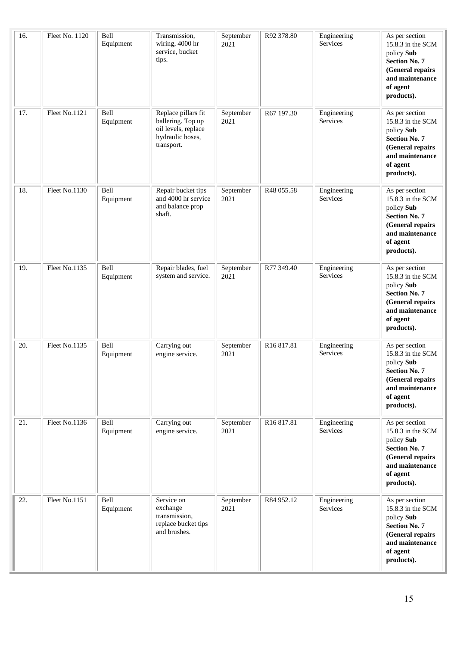| 16. | Fleet No. 1120 | Bell<br>Equipment | Transmission,<br>wiring, 4000 hr<br>service, bucket<br>tips.                                      | September<br>2021 | R92 378.80             | Engineering<br>Services        | As per section<br>15.8.3 in the SCM<br>policy Sub<br><b>Section No. 7</b><br>(General repairs<br>and maintenance<br>of agent<br>products). |
|-----|----------------|-------------------|---------------------------------------------------------------------------------------------------|-------------------|------------------------|--------------------------------|--------------------------------------------------------------------------------------------------------------------------------------------|
| 17. | Fleet No.1121  | Bell<br>Equipment | Replace pillars fit<br>ballering. Top up<br>oil levels, replace<br>hydraulic hoses,<br>transport. | September<br>2021 | R67 197.30             | Engineering<br>Services        | As per section<br>15.8.3 in the SCM<br>policy Sub<br><b>Section No. 7</b><br>(General repairs<br>and maintenance<br>of agent<br>products). |
| 18. | Fleet No.1130  | Bell<br>Equipment | Repair bucket tips<br>and 4000 hr service<br>and balance prop<br>shaft.                           | September<br>2021 | R48 055.58             | Engineering<br>Services        | As per section<br>15.8.3 in the SCM<br>policy Sub<br><b>Section No. 7</b><br>(General repairs<br>and maintenance<br>of agent<br>products). |
| 19. | Fleet No.1135  | Bell<br>Equipment | Repair blades, fuel<br>system and service.                                                        | September<br>2021 | R77 349.40             | Engineering<br><b>Services</b> | As per section<br>15.8.3 in the SCM<br>policy Sub<br><b>Section No. 7</b><br>(General repairs<br>and maintenance<br>of agent<br>products). |
| 20. | Fleet No.1135  | Bell<br>Equipment | Carrying out<br>engine service.                                                                   | September<br>2021 | R <sub>16</sub> 817.81 | Engineering<br>Services        | As per section<br>15.8.3 in the SCM<br>policy Sub<br><b>Section No. 7</b><br>(General repairs<br>and maintenance<br>of agent<br>products). |
| 21. | Fleet No.1136  | Bell<br>Equipment | Carrying out<br>engine service.                                                                   | September<br>2021 | R <sub>16</sub> 817.81 | Engineering<br>Services        | As per section<br>15.8.3 in the SCM<br>policy Sub<br><b>Section No. 7</b><br>(General repairs<br>and maintenance<br>of agent<br>products). |
| 22. | Fleet No.1151  | Bell<br>Equipment | Service on<br>exchange<br>transmission,<br>replace bucket tips<br>and brushes.                    | September<br>2021 | R84 952.12             | Engineering<br>Services        | As per section<br>15.8.3 in the SCM<br>policy Sub<br><b>Section No. 7</b><br>(General repairs<br>and maintenance<br>of agent<br>products). |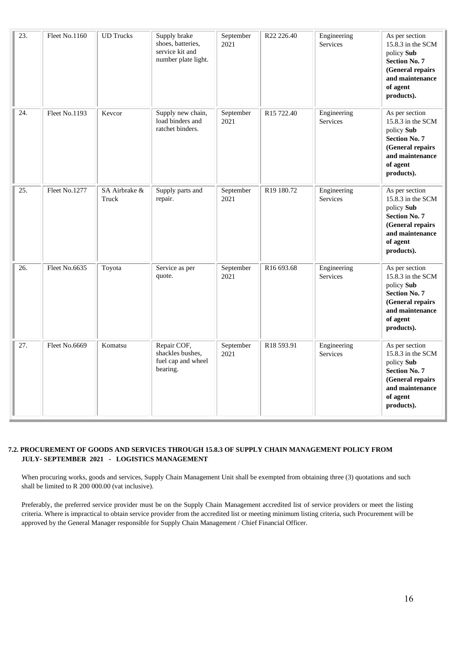| 23.               | Fleet No.1160        | <b>UD</b> Trucks       | Supply brake<br>shoes, batteries,<br>service kit and<br>number plate light. | September<br>2021 | R22 226.40             | Engineering<br>Services | As per section<br>15.8.3 in the SCM<br>policy Sub<br><b>Section No. 7</b><br>(General repairs<br>and maintenance<br>of agent<br>products).   |
|-------------------|----------------------|------------------------|-----------------------------------------------------------------------------|-------------------|------------------------|-------------------------|----------------------------------------------------------------------------------------------------------------------------------------------|
| 24.               | Fleet No.1193        | Kevcor                 | Supply new chain,<br>load binders and<br>ratchet binders.                   | September<br>2021 | R15 722.40             | Engineering<br>Services | As per section<br>$15.8.3$ in the SCM<br>policy Sub<br><b>Section No. 7</b><br>(General repairs<br>and maintenance<br>of agent<br>products). |
| $\overline{25}$ . | <b>Fleet No.1277</b> | SA Airbrake &<br>Truck | Supply parts and<br>repair.                                                 | September<br>2021 | R19 180.72             | Engineering<br>Services | As per section<br>15.8.3 in the SCM<br>policy Sub<br><b>Section No. 7</b><br>(General repairs<br>and maintenance<br>of agent<br>products).   |
| 26.               | Fleet No.6635        | Toyota                 | Service as per<br>quote.                                                    | September<br>2021 | R16 693.68             | Engineering<br>Services | As per section<br>15.8.3 in the SCM<br>policy Sub<br><b>Section No. 7</b><br>(General repairs<br>and maintenance<br>of agent<br>products).   |
| 27.               | Fleet No.6669        | Komatsu                | Repair COF,<br>shackles bushes,<br>fuel cap and wheel<br>bearing.           | September<br>2021 | R <sub>18</sub> 593.91 | Engineering<br>Services | As per section<br>15.8.3 in the SCM<br>policy Sub<br><b>Section No. 7</b><br>(General repairs<br>and maintenance<br>of agent<br>products).   |

### **7.2. PROCUREMENT OF GOODS AND SERVICES THROUGH 15.8.3 OF SUPPLY CHAIN MANAGEMENT POLICY FROM JULY- SEPTEMBER 2021 - LOGISTICS MANAGEMENT**

When procuring works, goods and services, Supply Chain Management Unit shall be exempted from obtaining three (3) quotations and such shall be limited to R 200 000.00 (vat inclusive).

Preferably, the preferred service provider must be on the Supply Chain Management accredited list of service providers or meet the listing criteria. Where is impractical to obtain service provider from the accredited list or meeting minimum listing criteria, such Procurement will be approved by the General Manager responsible for Supply Chain Management / Chief Financial Officer.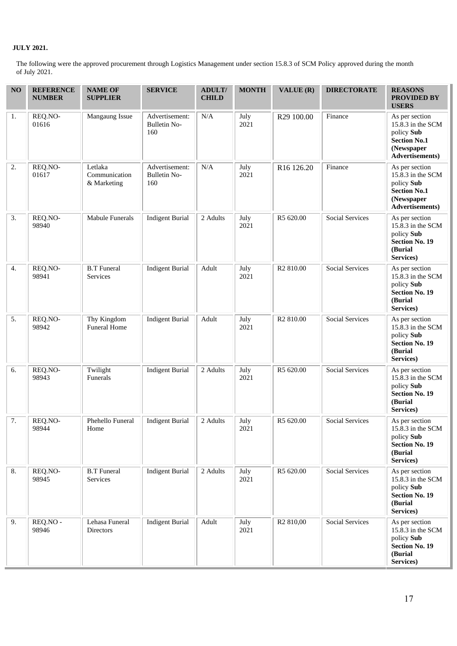# **JULY 2021.**

The following were the approved procurement through Logistics Management under section 15.8.3 of SCM Policy approved during the month of July 2021.

| NO | <b>REFERENCE</b><br><b>NUMBER</b> | <b>NAME OF</b><br><b>SUPPLIER</b>       | <b>SERVICE</b>                               | <b>ADULT/</b><br><b>CHILD</b> | <b>MONTH</b> | VALUE (R)              | <b>DIRECTORATE</b>     | <b>REASONS</b><br><b>PROVIDED BY</b><br><b>USERS</b>                                                      |
|----|-----------------------------------|-----------------------------------------|----------------------------------------------|-------------------------------|--------------|------------------------|------------------------|-----------------------------------------------------------------------------------------------------------|
| 1. | REQ.NO-<br>01616                  | Mangaung Issue                          | Advertisement:<br><b>Bulletin No-</b><br>160 | N/A                           | July<br>2021 | R29 100.00             | Finance                | As per section<br>15.8.3 in the SCM<br>policy Sub<br><b>Section No.1</b><br>(Newspaper<br>Advertisements) |
| 2. | REQ.NO-<br>01617                  | Letlaka<br>Communication<br>& Marketing | Advertisement:<br><b>Bulletin No-</b><br>160 | N/A                           | July<br>2021 | R <sub>16</sub> 126.20 | Finance                | As per section<br>15.8.3 in the SCM<br>policy Sub<br><b>Section No.1</b><br>(Newspaper<br>Advertisements) |
| 3. | REQ.NO-<br>98940                  | Mabule Funerals                         | <b>Indigent Burial</b>                       | 2 Adults                      | July<br>2021 | R5 620.00              | <b>Social Services</b> | As per section<br>15.8.3 in the SCM<br>policy Sub<br><b>Section No. 19</b><br>(Burial<br>Services)        |
| 4. | REQ.NO-<br>98941                  | <b>B.T</b> Funeral<br>Services          | <b>Indigent Burial</b>                       | Adult                         | July<br>2021 | R <sub>2</sub> 810.00  | <b>Social Services</b> | As per section<br>15.8.3 in the SCM<br>policy Sub<br><b>Section No. 19</b><br>(Burial<br>Services)        |
| 5. | REQ.NO-<br>98942                  | Thy Kingdom<br><b>Funeral Home</b>      | <b>Indigent Burial</b>                       | Adult                         | July<br>2021 | R <sub>2</sub> 810.00  | <b>Social Services</b> | As per section<br>15.8.3 in the SCM<br>policy Sub<br><b>Section No. 19</b><br>(Burial<br>Services)        |
| 6. | REQ.NO-<br>98943                  | Twilight<br>Funerals                    | <b>Indigent Burial</b>                       | 2 Adults                      | July<br>2021 | R5 620.00              | <b>Social Services</b> | As per section<br>15.8.3 in the SCM<br>policy Sub<br><b>Section No. 19</b><br>(Burial<br>Services)        |
| 7. | REQ.NO-<br>98944                  | Phehello Funeral<br>Home                | <b>Indigent Burial</b>                       | 2 Adults                      | July<br>2021 | R5 620.00              | Social Services        | As per section<br>$15.8.3$ in the SCM<br>policy Sub<br><b>Section No. 19</b><br>(Burial<br>Services)      |
| 8. | REQ.NO-<br>98945                  | <b>B.T</b> Funeral<br>Services          | <b>Indigent Burial</b>                       | 2 Adults                      | July<br>2021 | R5 620.00              | <b>Social Services</b> | As per section<br>15.8.3 in the SCM<br>policy Sub<br><b>Section No. 19</b><br>(Burial<br>Services)        |
| 9. | REQ.NO -<br>98946                 | Lehasa Funeral<br>Directors             | <b>Indigent Burial</b>                       | Adult                         | July<br>2021 | R <sub>2</sub> 810,00  | Social Services        | As per section<br>15.8.3 in the SCM<br>policy Sub<br><b>Section No. 19</b><br>(Burial<br>Services)        |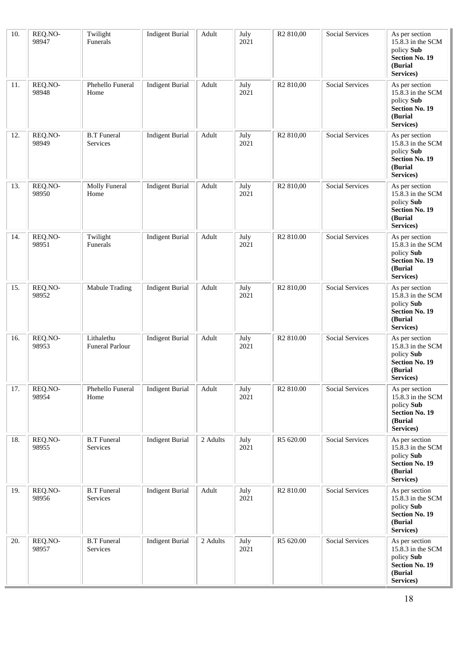| 10. | REQ.NO-<br>98947 | Twilight<br>Funerals           | <b>Indigent Burial</b> | Adult    | July<br>2021 | R <sub>2</sub> 810,00 | <b>Social Services</b> | As per section<br>15.8.3 in the SCM<br>policy Sub<br><b>Section No. 19</b><br>(Burial<br>Services) |
|-----|------------------|--------------------------------|------------------------|----------|--------------|-----------------------|------------------------|----------------------------------------------------------------------------------------------------|
| 11. | REQ.NO-<br>98948 | Phehello Funeral<br>Home       | <b>Indigent Burial</b> | Adult    | July<br>2021 | R <sub>2</sub> 810,00 | <b>Social Services</b> | As per section<br>15.8.3 in the SCM<br>policy Sub<br>Section No. 19<br>(Burial<br>Services)        |
| 12. | REQ.NO-<br>98949 | <b>B.T</b> Funeral<br>Services | <b>Indigent Burial</b> | Adult    | July<br>2021 | R <sub>2</sub> 810,00 | <b>Social Services</b> | As per section<br>15.8.3 in the SCM<br>policy Sub<br><b>Section No. 19</b><br>(Burial<br>Services) |
| 13. | REQ.NO-<br>98950 | Molly Funeral<br>Home          | <b>Indigent Burial</b> | Adult    | July<br>2021 | R <sub>2</sub> 810,00 | <b>Social Services</b> | As per section<br>15.8.3 in the SCM<br>policy Sub<br><b>Section No. 19</b><br>(Burial<br>Services) |
| 14. | REQ.NO-<br>98951 | Twilight<br>Funerals           | <b>Indigent Burial</b> | Adult    | July<br>2021 | R <sub>2</sub> 810.00 | <b>Social Services</b> | As per section<br>15.8.3 in the SCM<br>policy Sub<br><b>Section No. 19</b><br>(Burial<br>Services) |
| 15. | REQ.NO-<br>98952 | Mabule Trading                 | <b>Indigent Burial</b> | Adult    | July<br>2021 | R <sub>2</sub> 810,00 | <b>Social Services</b> | As per section<br>15.8.3 in the SCM<br>policy Sub<br><b>Section No. 19</b><br>(Burial<br>Services) |
| 16. | REQ.NO-<br>98953 | Lithalethu<br>Funeral Parlour  | <b>Indigent Burial</b> | Adult    | July<br>2021 | R <sub>2</sub> 810.00 | <b>Social Services</b> | As per section<br>15.8.3 in the SCM<br>policy Sub<br><b>Section No. 19</b><br>(Burial<br>Services) |
| 17. | REQ.NO-<br>98954 | Phehello Funeral<br>Home       | <b>Indigent Burial</b> | Adult    | July<br>2021 | R <sub>2</sub> 810.00 | <b>Social Services</b> | As per section<br>15.8.3 in the SCM<br>policy Sub<br><b>Section No. 19</b><br>(Burial<br>Services) |
| 18. | REQ.NO-<br>98955 | <b>B.T</b> Funeral<br>Services | <b>Indigent Burial</b> | 2 Adults | July<br>2021 | R5 620.00             | <b>Social Services</b> | As per section<br>15.8.3 in the SCM<br>policy Sub<br><b>Section No. 19</b><br>(Burial<br>Services) |
| 19. | REQ.NO-<br>98956 | <b>B.T</b> Funeral<br>Services | <b>Indigent Burial</b> | Adult    | July<br>2021 | R <sub>2</sub> 810.00 | <b>Social Services</b> | As per section<br>15.8.3 in the SCM<br>policy Sub<br><b>Section No. 19</b><br>(Burial<br>Services) |
| 20. | REQ.NO-<br>98957 | <b>B.T</b> Funeral<br>Services | <b>Indigent Burial</b> | 2 Adults | July<br>2021 | R5 620.00             | <b>Social Services</b> | As per section<br>15.8.3 in the SCM<br>policy Sub<br><b>Section No. 19</b><br>(Burial<br>Services) |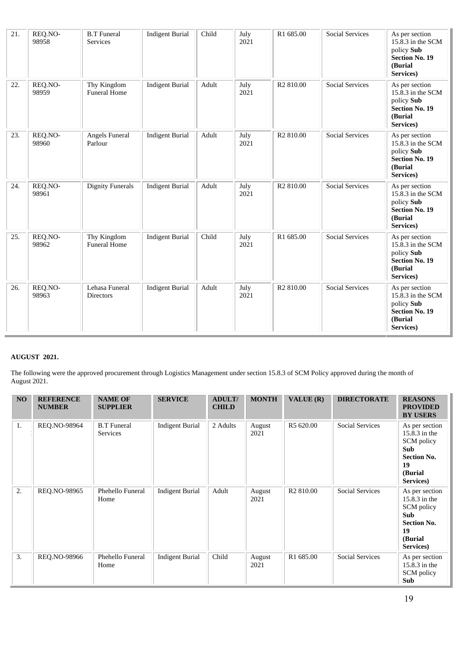| 21. | REQ.NO-<br>98958 | <b>B.T</b> Funeral<br>Services     | <b>Indigent Burial</b> | Child | July<br>2021 | R1 685.00             | <b>Social Services</b> | As per section<br>15.8.3 in the SCM<br>policy Sub<br><b>Section No. 19</b><br>(Burial<br>Services) |
|-----|------------------|------------------------------------|------------------------|-------|--------------|-----------------------|------------------------|----------------------------------------------------------------------------------------------------|
| 22. | REQ.NO-<br>98959 | Thy Kingdom<br><b>Funeral Home</b> | <b>Indigent Burial</b> | Adult | July<br>2021 | R <sub>2</sub> 810.00 | <b>Social Services</b> | As per section<br>15.8.3 in the SCM<br>policy Sub<br><b>Section No. 19</b><br>(Burial<br>Services) |
| 23. | REQ.NO-<br>98960 | Angels Funeral<br>Parlour          | <b>Indigent Burial</b> | Adult | July<br>2021 | R <sub>2</sub> 810.00 | <b>Social Services</b> | As per section<br>15.8.3 in the SCM<br>policy Sub<br><b>Section No. 19</b><br>(Burial<br>Services) |
| 24. | REQ.NO-<br>98961 | <b>Dignity Funerals</b>            | <b>Indigent Burial</b> | Adult | July<br>2021 | R <sub>2</sub> 810.00 | <b>Social Services</b> | As per section<br>15.8.3 in the SCM<br>policy Sub<br><b>Section No. 19</b><br>(Burial<br>Services) |
| 25. | REQ.NO-<br>98962 | Thy Kingdom<br><b>Funeral Home</b> | <b>Indigent Burial</b> | Child | July<br>2021 | R1 685.00             | <b>Social Services</b> | As per section<br>15.8.3 in the SCM<br>policy Sub<br><b>Section No. 19</b><br>(Burial<br>Services) |
| 26. | REQ.NO-<br>98963 | Lehasa Funeral<br>Directors        | <b>Indigent Burial</b> | Adult | July<br>2021 | R <sub>2</sub> 810.00 | <b>Social Services</b> | As per section<br>15.8.3 in the SCM<br>policy Sub<br><b>Section No. 19</b><br>(Burial<br>Services) |

# **AUGUST 2021.**

The following were the approved procurement through Logistics Management under section 15.8.3 of SCM Policy approved during the month of August 2021.

| NO | <b>REFERENCE</b><br><b>NUMBER</b> | <b>NAME OF</b><br><b>SUPPLIER</b> | <b>SERVICE</b>         | <b>ADULT/</b><br><b>CHILD</b> | <b>MONTH</b>   | VALUE (R)             | <b>DIRECTORATE</b>     | <b>REASONS</b><br><b>PROVIDED</b><br><b>BY USERS</b>                                                             |
|----|-----------------------------------|-----------------------------------|------------------------|-------------------------------|----------------|-----------------------|------------------------|------------------------------------------------------------------------------------------------------------------|
| 1. | REQ.NO-98964                      | <b>B.T</b> Funeral<br>Services    | <b>Indigent Burial</b> | 2 Adults                      | August<br>2021 | R5 620.00             | <b>Social Services</b> | As per section<br>15.8.3 in the<br>SCM policy<br><b>Sub</b><br><b>Section No.</b><br>19<br>(Burial)<br>Services) |
| 2. | REQ.NO-98965                      | Phehello Funeral<br>Home          | <b>Indigent Burial</b> | Adult                         | August<br>2021 | R <sub>2</sub> 810.00 | <b>Social Services</b> | As per section<br>15.8.3 in the<br>SCM policy<br><b>Sub</b><br><b>Section No.</b><br>19<br>(Burial)<br>Services) |
| 3. | REQ.NO-98966                      | Phehello Funeral<br>Home          | <b>Indigent Burial</b> | Child                         | August<br>2021 | R1 685.00             | <b>Social Services</b> | As per section<br>15.8.3 in the<br>SCM policy<br>Sub                                                             |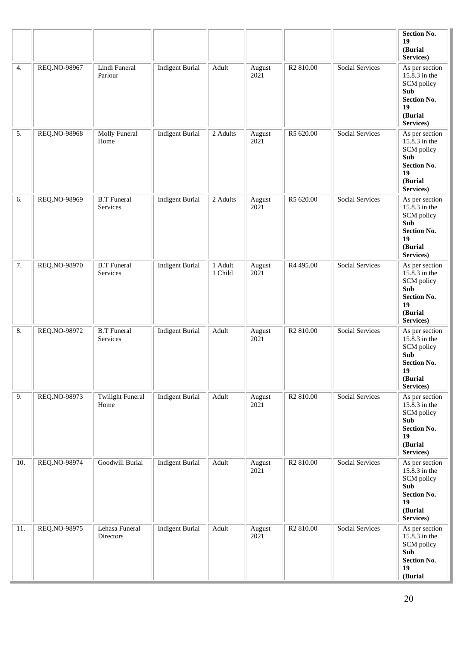|     |              |                                 |                        |                    |                |                       |                        | <b>Section No.</b><br>19<br>(Burial<br>Services)                                                                |
|-----|--------------|---------------------------------|------------------------|--------------------|----------------|-----------------------|------------------------|-----------------------------------------------------------------------------------------------------------------|
| 4.  | REQ.NO-98967 | Lindi Funeral<br>Parlour        | <b>Indigent Burial</b> | Adult              | August<br>2021 | R <sub>2</sub> 810.00 | <b>Social Services</b> | As per section<br>15.8.3 in the<br>SCM policy<br><b>Sub</b><br><b>Section No.</b><br>19<br>(Burial<br>Services) |
| 5.  | REQ.NO-98968 | Molly Funeral<br>Home           | <b>Indigent Burial</b> | 2 Adults           | August<br>2021 | R5 620.00             | <b>Social Services</b> | As per section<br>15.8.3 in the<br>SCM policy<br>Sub<br><b>Section No.</b><br>19<br>(Burial<br>Services)        |
| 6.  | REQ.NO-98969 | <b>B.T</b> Funeral<br>Services  | <b>Indigent Burial</b> | 2 Adults           | August<br>2021 | R5 620.00             | <b>Social Services</b> | As per section<br>15.8.3 in the<br>SCM policy<br>Sub<br><b>Section No.</b><br>19<br>(Burial<br>Services)        |
| 7.  | REQ.NO-98970 | <b>B.T</b> Funeral<br>Services  | <b>Indigent Burial</b> | 1 Adult<br>1 Child | August<br>2021 | R4 495.00             | <b>Social Services</b> | As per section<br>15.8.3 in the<br>SCM policy<br>Sub<br><b>Section No.</b><br>19<br>(Burial<br>Services)        |
| 8.  | REQ.NO-98972 | <b>B.T</b> Funeral<br>Services  | <b>Indigent Burial</b> | Adult              | August<br>2021 | R <sub>2</sub> 810.00 | <b>Social Services</b> | As per section<br>15.8.3 in the<br>SCM policy<br>Sub<br><b>Section No.</b><br>19<br>(Burial<br>Services)        |
| 9.  | REQ.NO-98973 | <b>Twilight Funeral</b><br>Home | <b>Indigent Burial</b> | Adult              | August<br>2021 | R <sub>2</sub> 810.00 | <b>Social Services</b> | As per section<br>15.8.3 in the<br>SCM policy<br><b>Sub</b><br><b>Section No.</b><br>19<br>(Burial<br>Services) |
| 10. | REQ.NO-98974 | Goodwill Burial                 | <b>Indigent Burial</b> | Adult              | August<br>2021 | R <sub>2</sub> 810.00 | <b>Social Services</b> | As per section<br>15.8.3 in the<br>SCM policy<br>Sub<br><b>Section No.</b><br>19<br>(Burial<br>Services)        |
| 11. | REQ.NO-98975 | Lehasa Funeral<br>Directors     | <b>Indigent Burial</b> | Adult              | August<br>2021 | R <sub>2</sub> 810.00 | Social Services        | As per section<br>15.8.3 in the<br>SCM policy<br>Sub<br><b>Section No.</b><br>19<br>(Burial                     |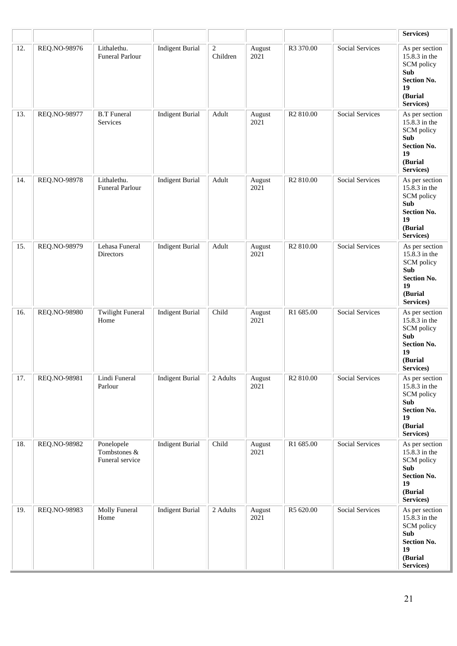|     |              |                                               |                        |                            |                |                       |                        | Services)                                                                                                       |
|-----|--------------|-----------------------------------------------|------------------------|----------------------------|----------------|-----------------------|------------------------|-----------------------------------------------------------------------------------------------------------------|
| 12. | REQ.NO-98976 | Lithalethu.<br><b>Funeral Parlour</b>         | <b>Indigent Burial</b> | $\overline{c}$<br>Children | August<br>2021 | R3 370.00             | <b>Social Services</b> | As per section<br>15.8.3 in the<br>SCM policy<br>Sub<br><b>Section No.</b><br>19<br>(Burial<br>Services)        |
| 13. | REQ.NO-98977 | <b>B.T</b> Funeral<br>Services                | <b>Indigent Burial</b> | Adult                      | August<br>2021 | R <sub>2</sub> 810.00 | <b>Social Services</b> | As per section<br>15.8.3 in the<br>SCM policy<br>Sub<br><b>Section No.</b><br>19<br>(Burial<br>Services)        |
| 14. | REQ.NO-98978 | Lithalethu.<br>Funeral Parlour                | <b>Indigent Burial</b> | Adult                      | August<br>2021 | R <sub>2</sub> 810.00 | <b>Social Services</b> | As per section<br>15.8.3 in the<br>SCM policy<br>Sub<br><b>Section No.</b><br>19<br>(Burial<br>Services)        |
| 15. | REQ.NO-98979 | Lehasa Funeral<br>Directors                   | <b>Indigent Burial</b> | Adult                      | August<br>2021 | R <sub>2</sub> 810.00 | <b>Social Services</b> | As per section<br>15.8.3 in the<br>SCM policy<br>Sub<br><b>Section No.</b><br>19<br>(Burial<br>Services)        |
| 16. | REQ.NO-98980 | <b>Twilight Funeral</b><br>Home               | <b>Indigent Burial</b> | Child                      | August<br>2021 | R1 685.00             | <b>Social Services</b> | As per section<br>15.8.3 in the<br>SCM policy<br><b>Sub</b><br><b>Section No.</b><br>19<br>(Burial<br>Services) |
| 17. | REQ.NO-98981 | Lindi Funeral<br>Parlour                      | <b>Indigent Burial</b> | 2 Adults                   | August<br>2021 | R <sub>2</sub> 810.00 | <b>Social Services</b> | As per section<br>15.8.3 in the<br>SCM policy<br>Sub<br><b>Section No.</b><br>19<br>(Burial<br>Services)        |
| 18. | REQ.NO-98982 | Ponelopele<br>Tombstones &<br>Funeral service | <b>Indigent Burial</b> | Child                      | August<br>2021 | R1 685.00             | <b>Social Services</b> | As per section<br>15.8.3 in the<br>SCM policy<br>Sub<br><b>Section No.</b><br>19<br>(Burial<br>Services)        |
| 19. | REQ.NO-98983 | Molly Funeral<br>Home                         | <b>Indigent Burial</b> | 2 Adults                   | August<br>2021 | R5 620.00             | Social Services        | As per section<br>15.8.3 in the<br>SCM policy<br>Sub<br><b>Section No.</b><br>19<br>(Burial<br>Services)        |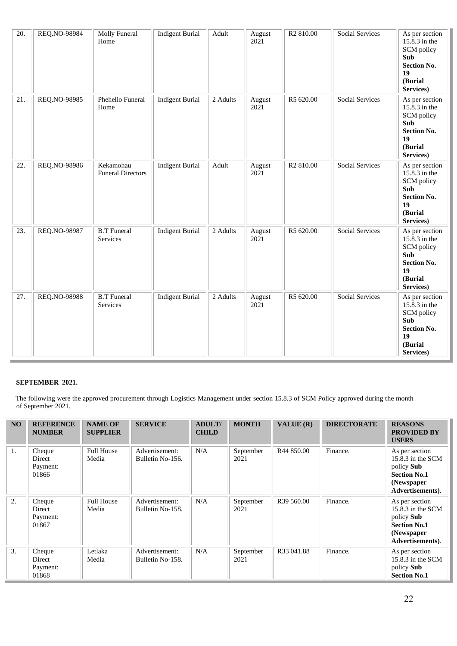| 20.               | REQ.NO-98984 | Molly Funeral<br>Home                 | <b>Indigent Burial</b> | Adult    | August<br>2021 | R <sub>2</sub> 810.00 | <b>Social Services</b> | As per section<br>$15.\overline{8}.3$ in the<br>SCM policy<br>Sub<br><b>Section No.</b><br>19<br>(Burial<br>Services) |
|-------------------|--------------|---------------------------------------|------------------------|----------|----------------|-----------------------|------------------------|-----------------------------------------------------------------------------------------------------------------------|
| $\overline{21}$ . | REQ.NO-98985 | Phehello Funeral<br>Home              | <b>Indigent Burial</b> | 2 Adults | August<br>2021 | R5 620.00             | <b>Social Services</b> | As per section<br>$15.\overline{8}.3$ in the<br>SCM policy<br>Sub<br><b>Section No.</b><br>19<br>(Burial<br>Services) |
| 22.               | REQ.NO-98986 | Kekamohau<br><b>Funeral Directors</b> | <b>Indigent Burial</b> | Adult    | August<br>2021 | R <sub>2</sub> 810.00 | <b>Social Services</b> | As per section<br>$15.\overline{8}.3$ in the<br>SCM policy<br>Sub<br><b>Section No.</b><br>19<br>(Burial<br>Services) |
| 23.               | REQ.NO-98987 | <b>B.T</b> Funeral<br>Services        | <b>Indigent Burial</b> | 2 Adults | August<br>2021 | R5 620.00             | <b>Social Services</b> | As per section<br>15.8.3 in the<br>SCM policy<br><b>Sub</b><br><b>Section No.</b><br>19<br>(Burial<br>Services)       |
| 27.               | REQ.NO-98988 | <b>B.T</b> Funeral<br>Services        | <b>Indigent Burial</b> | 2 Adults | August<br>2021 | R5 620.00             | <b>Social Services</b> | As per section<br>15.8.3 in the<br>SCM policy<br>Sub<br><b>Section No.</b><br>19<br>(Burial<br>Services)              |

 The following were the approved procurement through Logistics Management under section 15.8.3 of SCM Policy approved during the month of September 2021.

| N <sub>O</sub> | <b>REFERENCE</b><br><b>NUMBER</b>     | <b>NAME OF</b><br><b>SUPPLIER</b> | <b>SERVICE</b>                     | <b>ADULT/</b><br><b>CHILD</b> | <b>MONTH</b>      | VALUE $(R)$            | <b>DIRECTORATE</b> | <b>REASONS</b><br><b>PROVIDED BY</b><br><b>USERS</b>                                                          |
|----------------|---------------------------------------|-----------------------------------|------------------------------------|-------------------------------|-------------------|------------------------|--------------------|---------------------------------------------------------------------------------------------------------------|
| 1.             | Cheque<br>Direct<br>Payment:<br>01866 | <b>Full House</b><br>Media        | Advertisement:<br>Bulletin No-156. | N/A                           | September<br>2021 | R44 850.00             | Finance.           | As per section<br>$15.8.3$ in the SCM<br>policy Sub<br><b>Section No.1</b><br>(Newspaper)<br>Advertisements). |
| 2.             | Cheque<br>Direct<br>Payment:<br>01867 | <b>Full House</b><br>Media        | Advertisement:<br>Bulletin No-158. | N/A                           | September<br>2021 | R <sub>39</sub> 560.00 | Finance.           | As per section<br>15.8.3 in the $SCM$<br>policy Sub<br><b>Section No.1</b><br>(Newspaper<br>Advertisements).  |
| 3.             | Cheque<br>Direct<br>Payment:<br>01868 | Letlaka<br>Media                  | Advertisement:<br>Bulletin No-158. | N/A                           | September<br>2021 | R33 041.88             | Finance.           | As per section<br>15.8.3 in the SCM<br>policy Sub<br><b>Section No.1</b>                                      |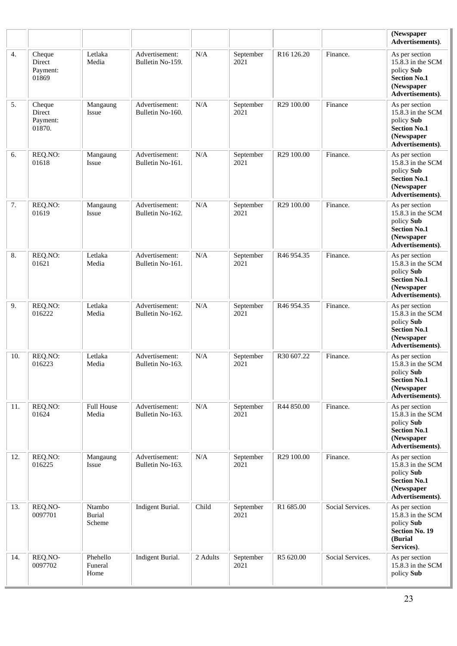|     |                                        |                                   |                                    |           |                   |                        |                  | (Newspaper<br>Advertisements).                                                                             |
|-----|----------------------------------------|-----------------------------------|------------------------------------|-----------|-------------------|------------------------|------------------|------------------------------------------------------------------------------------------------------------|
| 4.  | Cheque<br>Direct<br>Payment:<br>01869  | Letlaka<br>Media                  | Advertisement:<br>Bulletin No-159. | N/A       | September<br>2021 | R <sub>16</sub> 126.20 | Finance.         | As per section<br>15.8.3 in the SCM<br>policy Sub<br><b>Section No.1</b><br>(Newspaper<br>Advertisements). |
| 5.  | Cheque<br>Direct<br>Payment:<br>01870. | Mangaung<br>Issue                 | Advertisement:<br>Bulletin No-160. | N/A       | September<br>2021 | R29 100.00             | Finance          | As per section<br>15.8.3 in the SCM<br>policy Sub<br><b>Section No.1</b><br>(Newspaper<br>Advertisements). |
| 6.  | REQ.NO:<br>01618                       | Mangaung<br>Issue                 | Advertisement:<br>Bulletin No-161. | $\rm N/A$ | September<br>2021 | R29 100.00             | Finance.         | As per section<br>15.8.3 in the SCM<br>policy Sub<br><b>Section No.1</b><br>(Newspaper<br>Advertisements). |
| 7.  | REQ.NO:<br>01619                       | Mangaung<br>Issue                 | Advertisement:<br>Bulletin No-162. | N/A       | September<br>2021 | R29 100.00             | Finance.         | As per section<br>15.8.3 in the SCM<br>policy Sub<br><b>Section No.1</b><br>(Newspaper<br>Advertisements). |
| 8.  | REQ.NO:<br>01621                       | Letlaka<br>Media                  | Advertisement:<br>Bulletin No-161. | N/A       | September<br>2021 | R46 954.35             | Finance.         | As per section<br>15.8.3 in the SCM<br>policy Sub<br><b>Section No.1</b><br>(Newspaper<br>Advertisements). |
| 9.  | REQ.NO:<br>016222                      | Letlaka<br>Media                  | Advertisement:<br>Bulletin No-162. | $\rm N/A$ | September<br>2021 | R46 954.35             | Finance.         | As per section<br>15.8.3 in the SCM<br>policy Sub<br><b>Section No.1</b><br>(Newspaper<br>Advertisements). |
| 10. | REQ.NO:<br>016223                      | Letlaka<br>Media                  | Advertisement:<br>Bulletin No-163. | N/A       | September<br>2021 | R30 607.22             | Finance.         | As per section<br>15.8.3 in the SCM<br>policy Sub<br><b>Section No.1</b><br>(Newspaper<br>Advertisements). |
| 11. | REQ.NO:<br>01624                       | <b>Full House</b><br>Media        | Advertisement:<br>Bulletin No-163. | N/A       | September<br>2021 | R44 850.00             | Finance.         | As per section<br>15.8.3 in the SCM<br>policy Sub<br><b>Section No.1</b><br>(Newspaper<br>Advertisements). |
| 12. | REQ.NO:<br>016225                      | Mangaung<br>Issue                 | Advertisement:<br>Bulletin No-163. | N/A       | September<br>2021 | R29 100.00             | Finance.         | As per section<br>15.8.3 in the SCM<br>policy Sub<br><b>Section No.1</b><br>(Newspaper<br>Advertisements). |
| 13. | REQ.NO-<br>0097701                     | Ntambo<br><b>Burial</b><br>Scheme | Indigent Burial.                   | Child     | September<br>2021 | R1 685.00              | Social Services. | As per section<br>15.8.3 in the SCM<br>policy Sub<br><b>Section No. 19</b><br>(Burial<br>Services).        |
| 14. | REQ.NO-<br>0097702                     | Phehello<br>Funeral<br>Home       | Indigent Burial.                   | 2 Adults  | September<br>2021 | R5 620.00              | Social Services. | As per section<br>15.8.3 in the SCM<br>policy Sub                                                          |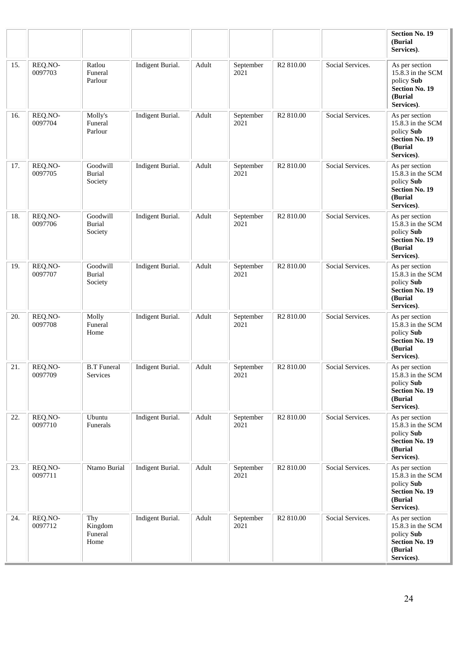|     |                    |                                      |                  |       |                   |                       |                  | <b>Section No. 19</b><br>(Burial<br>Services).                                                       |
|-----|--------------------|--------------------------------------|------------------|-------|-------------------|-----------------------|------------------|------------------------------------------------------------------------------------------------------|
| 15. | REQ.NO-<br>0097703 | Ratlou<br>Funeral<br>Parlour         | Indigent Burial. | Adult | September<br>2021 | R <sub>2</sub> 810.00 | Social Services. | As per section<br>15.8.3 in the SCM<br>policy Sub<br><b>Section No. 19</b><br>(Burial)<br>Services). |
| 16. | REQ.NO-<br>0097704 | Molly's<br>Funeral<br>Parlour        | Indigent Burial. | Adult | September<br>2021 | R <sub>2</sub> 810.00 | Social Services. | As per section<br>15.8.3 in the SCM<br>policy Sub<br><b>Section No. 19</b><br>(Burial<br>Services).  |
| 17. | REQ.NO-<br>0097705 | Goodwill<br><b>Burial</b><br>Society | Indigent Burial. | Adult | September<br>2021 | R <sub>2</sub> 810.00 | Social Services. | As per section<br>15.8.3 in the SCM<br>policy Sub<br><b>Section No. 19</b><br>(Burial<br>Services).  |
| 18. | REQ.NO-<br>0097706 | Goodwill<br><b>Burial</b><br>Society | Indigent Burial. | Adult | September<br>2021 | R <sub>2</sub> 810.00 | Social Services. | As per section<br>15.8.3 in the SCM<br>policy Sub<br><b>Section No. 19</b><br>(Burial<br>Services).  |
| 19. | REQ.NO-<br>0097707 | Goodwill<br><b>Burial</b><br>Society | Indigent Burial. | Adult | September<br>2021 | R <sub>2</sub> 810.00 | Social Services. | As per section<br>15.8.3 in the SCM<br>policy Sub<br><b>Section No. 19</b><br>(Burial<br>Services).  |
| 20. | REQ.NO-<br>0097708 | Molly<br>Funeral<br>Home             | Indigent Burial. | Adult | September<br>2021 | R <sub>2</sub> 810.00 | Social Services. | As per section<br>15.8.3 in the SCM<br>policy Sub<br><b>Section No. 19</b><br>(Burial<br>Services).  |
| 21. | REQ.NO-<br>0097709 | <b>B.T</b> Funeral<br>Services       | Indigent Burial. | Adult | September<br>2021 | R <sub>2</sub> 810.00 | Social Services. | As per section<br>15.8.3 in the SCM<br>policy Sub<br><b>Section No. 19</b><br>(Burial<br>Services).  |
| 22. | REQ.NO-<br>0097710 | Ubuntu<br>Funerals                   | Indigent Burial. | Adult | September<br>2021 | R <sub>2</sub> 810.00 | Social Services. | As per section<br>15.8.3 in the SCM<br>policy Sub<br><b>Section No. 19</b><br>(Burial<br>Services).  |
| 23. | REQ.NO-<br>0097711 | Ntamo Burial                         | Indigent Burial. | Adult | September<br>2021 | R <sub>2</sub> 810.00 | Social Services. | As per section<br>15.8.3 in the SCM<br>policy Sub<br><b>Section No. 19</b><br>(Burial<br>Services).  |
| 24. | REQ.NO-<br>0097712 | Thy<br>Kingdom<br>Funeral<br>Home    | Indigent Burial. | Adult | September<br>2021 | R <sub>2</sub> 810.00 | Social Services. | As per section<br>15.8.3 in the SCM<br>policy Sub<br><b>Section No. 19</b><br>(Burial<br>Services).  |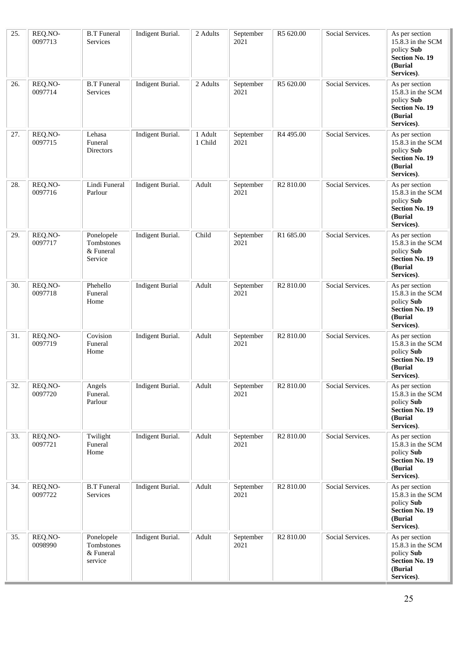| 25. | REQ.NO-<br>0097713 | <b>B.T</b> Funeral<br>Services                   | Indigent Burial.       | 2 Adults           | September<br>2021 | R5 620.00             | Social Services. | As per section<br>15.8.3 in the SCM<br>policy Sub<br><b>Section No. 19</b><br>(Burial<br>Services). |
|-----|--------------------|--------------------------------------------------|------------------------|--------------------|-------------------|-----------------------|------------------|-----------------------------------------------------------------------------------------------------|
| 26. | REQ.NO-<br>0097714 | <b>B.T</b> Funeral<br>Services                   | Indigent Burial.       | 2 Adults           | September<br>2021 | R5 620.00             | Social Services. | As per section<br>15.8.3 in the SCM<br>policy Sub<br><b>Section No. 19</b><br>(Burial<br>Services). |
| 27. | REQ.NO-<br>0097715 | Lehasa<br>Funeral<br>Directors                   | Indigent Burial.       | 1 Adult<br>1 Child | September<br>2021 | R4 495.00             | Social Services. | As per section<br>15.8.3 in the SCM<br>policy Sub<br><b>Section No. 19</b><br>(Burial<br>Services). |
| 28. | REQ.NO-<br>0097716 | Lindi Funeral<br>Parlour                         | Indigent Burial.       | Adult              | September<br>2021 | R <sub>2</sub> 810.00 | Social Services. | As per section<br>15.8.3 in the SCM<br>policy Sub<br><b>Section No. 19</b><br>(Burial<br>Services). |
| 29. | REQ.NO-<br>0097717 | Ponelopele<br>Tombstones<br>& Funeral<br>Service | Indigent Burial.       | Child              | September<br>2021 | R1 685.00             | Social Services. | As per section<br>15.8.3 in the SCM<br>policy Sub<br><b>Section No. 19</b><br>(Burial<br>Services). |
| 30. | REQ.NO-<br>0097718 | Phehello<br>Funeral<br>Home                      | <b>Indigent Burial</b> | Adult              | September<br>2021 | R <sub>2</sub> 810.00 | Social Services. | As per section<br>15.8.3 in the SCM<br>policy Sub<br><b>Section No. 19</b><br>(Burial<br>Services). |
| 31. | REQ.NO-<br>0097719 | Covision<br>Funeral<br>Home                      | Indigent Burial.       | Adult              | September<br>2021 | R <sub>2</sub> 810.00 | Social Services. | As per section<br>15.8.3 in the SCM<br>policy Sub<br><b>Section No. 19</b><br>(Burial<br>Services). |
| 32. | REQ.NO-<br>0097720 | Angels<br>Funeral.<br>Parlour                    | Indigent Burial.       | Adult              | September<br>2021 | R <sub>2</sub> 810.00 | Social Services. | As per section<br>15.8.3 in the SCM<br>policy Sub<br><b>Section No. 19</b><br>(Burial<br>Services). |
| 33. | REQ.NO-<br>0097721 | Twilight<br>Funeral<br>Home                      | Indigent Burial.       | Adult              | September<br>2021 | R <sub>2</sub> 810.00 | Social Services. | As per section<br>15.8.3 in the SCM<br>policy Sub<br><b>Section No. 19</b><br>(Burial<br>Services). |
| 34. | REQ.NO-<br>0097722 | <b>B.T</b> Funeral<br><b>Services</b>            | Indigent Burial.       | Adult              | September<br>2021 | R <sub>2</sub> 810.00 | Social Services. | As per section<br>15.8.3 in the SCM<br>policy Sub<br><b>Section No. 19</b><br>(Burial<br>Services). |
| 35. | REQ.NO-<br>0098990 | Ponelopele<br>Tombstones<br>& Funeral<br>service | Indigent Burial.       | Adult              | September<br>2021 | R <sub>2</sub> 810.00 | Social Services. | As per section<br>15.8.3 in the SCM<br>policy Sub<br><b>Section No. 19</b><br>(Burial<br>Services). |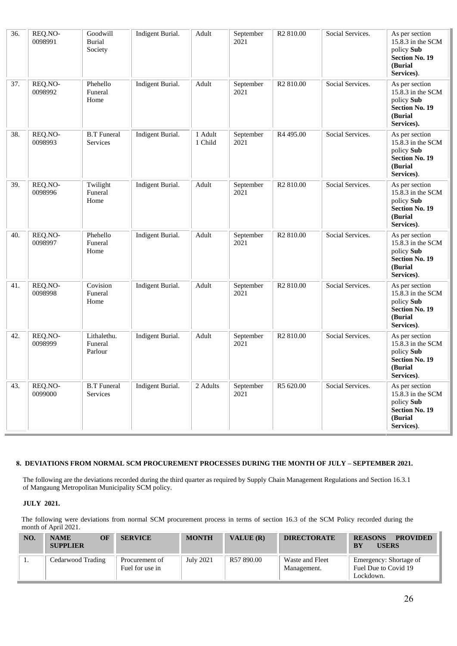| 36. | REQ.NO-<br>0098991 | Goodwill<br><b>Burial</b><br>Society | Indigent Burial. | Adult              | September<br>2021 | R <sub>2</sub> 810.00 | Social Services. | As per section<br>15.8.3 in the SCM<br>policy Sub<br><b>Section No. 19</b><br>(Burial<br>Services). |
|-----|--------------------|--------------------------------------|------------------|--------------------|-------------------|-----------------------|------------------|-----------------------------------------------------------------------------------------------------|
| 37. | REQ.NO-<br>0098992 | Phehello<br>Funeral<br>Home          | Indigent Burial. | Adult              | September<br>2021 | R <sub>2</sub> 810.00 | Social Services. | As per section<br>15.8.3 in the SCM<br>policy Sub<br><b>Section No. 19</b><br>(Burial<br>Services). |
| 38. | REQ.NO-<br>0098993 | <b>B.T</b> Funeral<br>Services       | Indigent Burial. | 1 Adult<br>1 Child | September<br>2021 | R <sub>4</sub> 495.00 | Social Services. | As per section<br>15.8.3 in the SCM<br>policy Sub<br><b>Section No. 19</b><br>(Burial<br>Services). |
| 39. | REQ.NO-<br>0098996 | Twilight<br>Funeral<br>Home          | Indigent Burial. | Adult              | September<br>2021 | R <sub>2</sub> 810.00 | Social Services. | As per section<br>15.8.3 in the SCM<br>policy Sub<br><b>Section No. 19</b><br>(Burial<br>Services). |
| 40. | REQ.NO-<br>0098997 | Phehello<br>Funeral<br>Home          | Indigent Burial. | Adult              | September<br>2021 | R <sub>2</sub> 810.00 | Social Services. | As per section<br>15.8.3 in the SCM<br>policy Sub<br><b>Section No. 19</b><br>(Burial<br>Services). |
| 41. | REQ.NO-<br>0098998 | Covision<br>Funeral<br>Home          | Indigent Burial. | Adult              | September<br>2021 | R <sub>2</sub> 810.00 | Social Services. | As per section<br>15.8.3 in the SCM<br>policy Sub<br><b>Section No. 19</b><br>(Burial<br>Services). |
| 42. | REQ.NO-<br>0098999 | Lithalethu.<br>Funeral<br>Parlour    | Indigent Burial. | Adult              | September<br>2021 | R <sub>2</sub> 810.00 | Social Services. | As per section<br>15.8.3 in the SCM<br>policy Sub<br><b>Section No. 19</b><br>(Burial<br>Services). |
| 43. | REQ.NO-<br>0099000 | <b>B.T</b> Funeral<br>Services       | Indigent Burial. | 2 Adults           | September<br>2021 | R5 620.00             | Social Services. | As per section<br>15.8.3 in the SCM<br>policy Sub<br><b>Section No. 19</b><br>(Burial<br>Services). |

#### **8. DEVIATIONS FROM NORMAL SCM PROCUREMENT PROCESSES DURING THE MONTH OF JULY – SEPTEMBER 2021.**

The following are the deviations recorded during the third quarter as required by Supply Chain Management Regulations and Section 16.3.1 of Mangaung Metropolitan Municipality SCM policy.

#### **JULY 2021.**

The following were deviations from normal SCM procurement process in terms of section 16.3 of the SCM Policy recorded during the month of April 2021.

| NO. | OF<br><b>NAME</b><br><b>SUPPLIER</b> | <b>SERVICE</b>                    | <b>MONTH</b> | VALUE $(R)$ | <b>DIRECTORATE</b>             | <b>PROVIDED</b><br><b>REASONS</b><br><b>USERS</b><br><b>BY</b> |
|-----|--------------------------------------|-----------------------------------|--------------|-------------|--------------------------------|----------------------------------------------------------------|
|     | Cedarwood Trading                    | Procurement of<br>Fuel for use in | July 2021    | R57 890.00  | Waste and Fleet<br>Management. | Emergency: Shortage of<br>Fuel Due to Covid 19<br>Lockdown.    |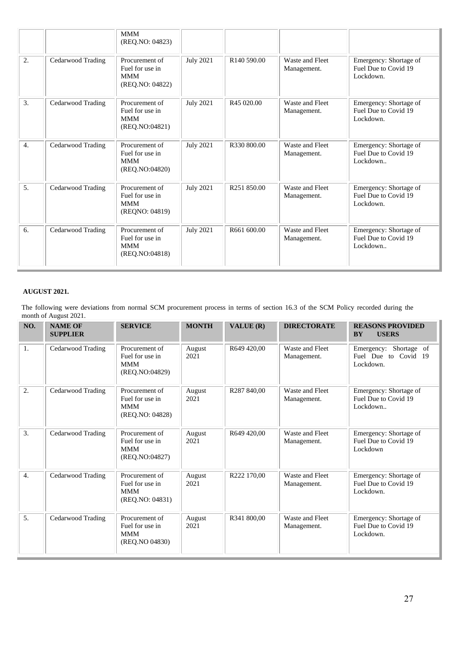|                  |                   | <b>MMM</b><br>(REQ.NO: 04823)                                      |                  |                         |                                |                                                             |
|------------------|-------------------|--------------------------------------------------------------------|------------------|-------------------------|--------------------------------|-------------------------------------------------------------|
| 2.               | Cedarwood Trading | Procurement of<br>Fuel for use in<br><b>MMM</b><br>(REQ.NO: 04822) | <b>July 2021</b> | R140 590.00             | Waste and Fleet<br>Management. | Emergency: Shortage of<br>Fuel Due to Covid 19<br>Lockdown. |
| 3.               | Cedarwood Trading | Procurement of<br>Fuel for use in<br><b>MMM</b><br>(REQ.NO:04821)  | <b>July 2021</b> | R <sub>45</sub> 020.00  | Waste and Fleet<br>Management. | Emergency: Shortage of<br>Fuel Due to Covid 19<br>Lockdown. |
| $\overline{4}$ . | Cedarwood Trading | Procurement of<br>Fuel for use in<br><b>MMM</b><br>(REQ.NO:04820)  | <b>July 2021</b> | R330 800.00             | Waste and Fleet<br>Management. | Emergency: Shortage of<br>Fuel Due to Covid 19<br>Lockdown  |
| 5.               | Cedarwood Trading | Procurement of<br>Fuel for use in<br><b>MMM</b><br>(REQNO: 04819)  | <b>July 2021</b> | R <sub>251</sub> 850.00 | Waste and Fleet<br>Management. | Emergency: Shortage of<br>Fuel Due to Covid 19<br>Lockdown. |
| 6.               | Cedarwood Trading | Procurement of<br>Fuel for use in<br><b>MMM</b><br>(REQ.NO:04818)  | <b>July 2021</b> | R661 600.00             | Waste and Fleet<br>Management. | Emergency: Shortage of<br>Fuel Due to Covid 19<br>Lockdown  |

## **AUGUST 2021.**

The following were deviations from normal SCM procurement process in terms of section 16.3 of the SCM Policy recorded during the month of August 2021.

| NO.              | <b>NAME OF</b><br><b>SUPPLIER</b> | <b>SERVICE</b>                                                     | <b>MONTH</b>   | VALUE (R)   | <b>DIRECTORATE</b>             | <b>REASONS PROVIDED</b><br><b>BY</b><br><b>USERS</b>           |
|------------------|-----------------------------------|--------------------------------------------------------------------|----------------|-------------|--------------------------------|----------------------------------------------------------------|
| 1.               | Cedarwood Trading                 | Procurement of<br>Fuel for use in<br><b>MMM</b><br>(REQ.NO:04829)  | August<br>2021 | R649 420,00 | Waste and Fleet<br>Management. | Shortage of<br>Emergency:<br>Fuel Due to Covid 19<br>Lockdown. |
| 2.               | Cedarwood Trading                 | Procurement of<br>Fuel for use in<br><b>MMM</b><br>(REQ.NO: 04828) | August<br>2021 | R287 840,00 | Waste and Fleet<br>Management. | Emergency: Shortage of<br>Fuel Due to Covid 19<br>Lockdown     |
| 3.               | Cedarwood Trading                 | Procurement of<br>Fuel for use in<br><b>MMM</b><br>(REO.NO:04827)  | August<br>2021 | R649 420,00 | Waste and Fleet<br>Management. | Emergency: Shortage of<br>Fuel Due to Covid 19<br>Lockdown     |
| $\overline{4}$ . | Cedarwood Trading                 | Procurement of<br>Fuel for use in<br><b>MMM</b><br>(REQ.NO: 04831) | August<br>2021 | R222 170,00 | Waste and Fleet<br>Management. | Emergency: Shortage of<br>Fuel Due to Covid 19<br>Lockdown.    |
| 5.               | Cedarwood Trading                 | Procurement of<br>Fuel for use in<br><b>MMM</b><br>(REO.NO 04830)  | August<br>2021 | R341 800,00 | Waste and Fleet<br>Management. | Emergency: Shortage of<br>Fuel Due to Covid 19<br>Lockdown.    |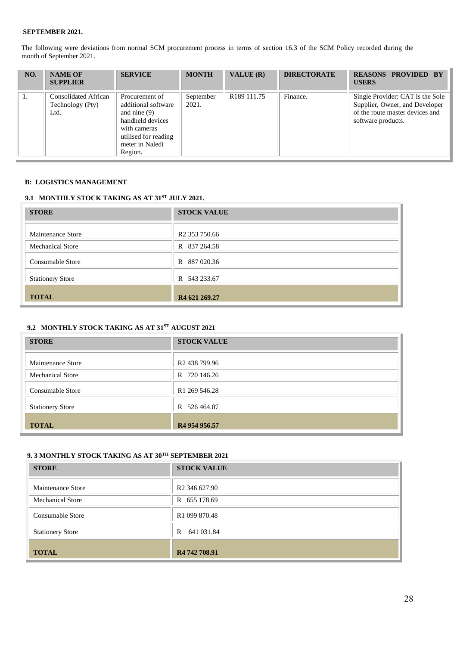The following were deviations from normal SCM procurement process in terms of section 16.3 of the SCM Policy recorded during the month of September 2021.

| NO. | <b>NAME OF</b><br><b>SUPPLIER</b>                       | <b>SERVICE</b>                                                                                                                                    | <b>MONTH</b>       | VALUE $(R)$             | <b>DIRECTORATE</b> | <b>REASONS PROVIDED BY</b><br><b>USERS</b>                                                                                  |
|-----|---------------------------------------------------------|---------------------------------------------------------------------------------------------------------------------------------------------------|--------------------|-------------------------|--------------------|-----------------------------------------------------------------------------------------------------------------------------|
|     | <b>Consolidated African</b><br>Technology (Pty)<br>Ltd. | Procurement of<br>additional software<br>and nine $(9)$<br>handheld devices<br>with cameras<br>utilised for reading<br>meter in Naledi<br>Region. | September<br>2021. | R <sub>189</sub> 111.75 | Finance.           | Single Provider: CAT is the Sole<br>Supplier, Owner, and Developer<br>of the route master devices and<br>software products. |

#### **B: LOGISTICS MANAGEMENT**

# **9.1 MONTHLY STOCK TAKING AS AT 31ST JULY 2021.**

| <b>STORE</b>             | <b>STOCK VALUE</b>        |
|--------------------------|---------------------------|
| <b>Maintenance Store</b> | R <sub>2</sub> 353 750.66 |
| <b>Mechanical Store</b>  | R 837 264.58              |
| <b>Consumable Store</b>  | 887 020.36<br>R           |
| <b>Stationery Store</b>  | R 543 233.67              |
| <b>TOTAL</b>             | R <sub>4</sub> 621 269.27 |

### **9.2 MONTHLY STOCK TAKING AS AT 31ST AUGUST 2021**

| <b>STORE</b>             | <b>STOCK VALUE</b>        |
|--------------------------|---------------------------|
| <b>Maintenance Store</b> | R <sub>2</sub> 438 799.96 |
| <b>Mechanical Store</b>  | R 720 146.26              |
| Consumable Store         | R <sub>1</sub> 269 546.28 |
| <b>Stationery Store</b>  | 526 464.07<br>R           |
| <b>TOTAL</b>             | R4 954 956.57             |

# **9. 3 MONTHLY STOCK TAKING AS AT 30TH SEPTEMBER 2021**

| <b>STORE</b>            | <b>STOCK VALUE</b>        |
|-------------------------|---------------------------|
| Maintenance Store       | R <sub>2</sub> 346 627.90 |
| <b>Mechanical Store</b> | R 655 178.69              |
| Consumable Store        | R <sub>1</sub> 099 870.48 |
| <b>Stationery Store</b> | 641 031.84<br>R           |
| <b>TOTAL</b>            | R <sub>4</sub> 742 708.91 |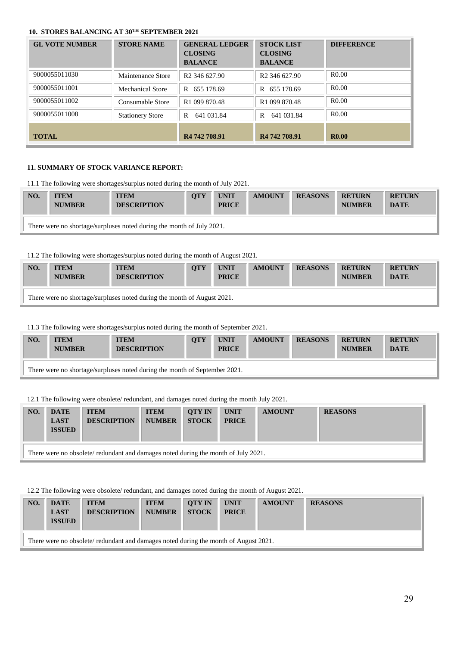# **10. STORES BALANCING AT 30TH SEPTEMBER 2021**

| <b>GL VOTE NUMBER</b> | <b>STORE NAME</b>       | <b>GENERAL LEDGER</b><br><b>CLOSING</b><br><b>BALANCE</b> | <b>STOCK LIST</b><br><b>CLOSING</b><br><b>BALANCE</b> | <b>DIFFERENCE</b> |
|-----------------------|-------------------------|-----------------------------------------------------------|-------------------------------------------------------|-------------------|
| 9000055011030         | Maintenance Store       | R <sub>2</sub> 346 627.90                                 | R <sub>2</sub> 346 627.90                             | R0.00             |
| 9000055011001         | <b>Mechanical Store</b> | R 655 178.69                                              | R 655 178.69                                          | R <sub>0.00</sub> |
| 9000055011002         | Consumable Store        | R <sub>1</sub> 099 870.48                                 | R <sub>1</sub> 099 870.48                             | R <sub>0.00</sub> |
| 9000055011008         | <b>Stationery Store</b> | 641 031.84<br>R                                           | 641 031.84<br>R                                       | R <sub>0.00</sub> |
| <b>TOTAL</b>          |                         | R <sub>4</sub> 742 708.91                                 | R <sub>4</sub> 742 708.91                             | <b>R0.00</b>      |

### **11. SUMMARY OF STOCK VARIANCE REPORT:**

11.1 The following were shortages/surplus noted during the month of July 2021.

| NO. | <b>ITEM</b><br><b>NUMBER</b>                                          | <b>ITEM</b><br><b>DESCRIPTION</b> | <b>OTY</b> | <b>UNIT</b><br><b>PRICE</b> | <b>AMOUNT</b> | <b>REASONS</b> | <b>RETURN</b><br><b>NUMBER</b> | <b>RETURN</b><br><b>DATE</b> |  |
|-----|-----------------------------------------------------------------------|-----------------------------------|------------|-----------------------------|---------------|----------------|--------------------------------|------------------------------|--|
|     | There were no shortage/surpluses noted during the month of July 2021. |                                   |            |                             |               |                |                                |                              |  |

#### 11.2 The following were shortages/surplus noted during the month of August 2021.

| NO.                                                                     | <b>ITEM</b><br><b>NUMBER</b> | <b>ITEM</b><br><b>DESCRIPTION</b> | <b>OTY</b> | <b>UNIT</b><br><b>PRICE</b> | <b>AMOUNT</b> | <b>REASONS</b> | <b>RETURN</b><br><b>NUMBER</b> | <b>RETURN</b><br><b>DATE</b> |  |
|-------------------------------------------------------------------------|------------------------------|-----------------------------------|------------|-----------------------------|---------------|----------------|--------------------------------|------------------------------|--|
| There were no shortage/surpluses noted during the month of August 2021. |                              |                                   |            |                             |               |                |                                |                              |  |

11.3 The following were shortages/surplus noted during the month of September 2021.

| NO. | <b>ITEM</b><br><b>NUMBER</b>                                               | <b>ITEM</b><br><b>DESCRIPTION</b> | <b>OTY</b> | <b>UNIT</b><br><b>PRICE</b> | <b>AMOUNT</b> | <b>REASONS</b> | <b>RETURN</b><br><b>NUMBER</b> | <b>RETURN</b><br><b>DATE</b> |  |  |
|-----|----------------------------------------------------------------------------|-----------------------------------|------------|-----------------------------|---------------|----------------|--------------------------------|------------------------------|--|--|
|     | There were no shortage/surpluses noted during the month of September 2021. |                                   |            |                             |               |                |                                |                              |  |  |

12.1 The following were obsolete/ redundant, and damages noted during the month July 2021.

| NO.                                                                                | <b>DATE</b><br><b>LAST</b><br><b>ISSUED</b> | <b>ITEM</b><br><b>DESCRIPTION</b> | <b>ITEM</b><br><b>NUMBER</b> | <b>OTY IN</b><br><b>STOCK</b> | <b>UNIT</b><br><b>PRICE</b> | <b>AMOUNT</b> | <b>REASONS</b> |  |  |
|------------------------------------------------------------------------------------|---------------------------------------------|-----------------------------------|------------------------------|-------------------------------|-----------------------------|---------------|----------------|--|--|
| There were no obsolete/ redundant and damages noted during the month of July 2021. |                                             |                                   |                              |                               |                             |               |                |  |  |

### 12.2 The following were obsolete/ redundant, and damages noted during the month of August 2021.

| NO.                                                                                  | <b>DATE</b><br><b>LAST</b><br><b>ISSUED</b> | <b>ITEM</b><br><b>DESCRIPTION</b> | <b>ITEM</b><br><b>NUMBER</b> | <b>OTY IN</b><br><b>STOCK</b> | <b>UNIT</b><br><b>PRICE</b> | <b>AMOUNT</b> | <b>REASONS</b> |  |  |
|--------------------------------------------------------------------------------------|---------------------------------------------|-----------------------------------|------------------------------|-------------------------------|-----------------------------|---------------|----------------|--|--|
| There were no obsolete/ redundant and damages noted during the month of August 2021. |                                             |                                   |                              |                               |                             |               |                |  |  |